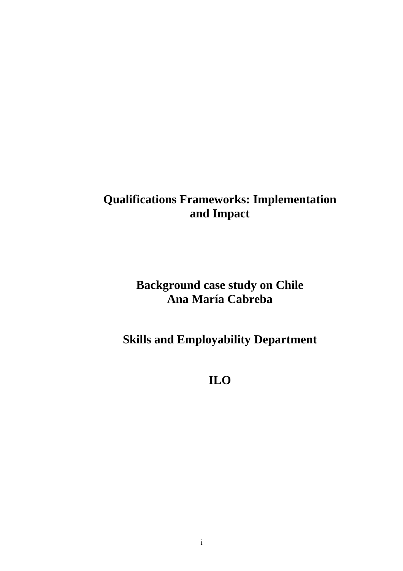# **Qualifications Frameworks: Implementation and Impact**

# **Background case study on Chile Ana María Cabreba**

# **Skills and Employability Department**

**ILO**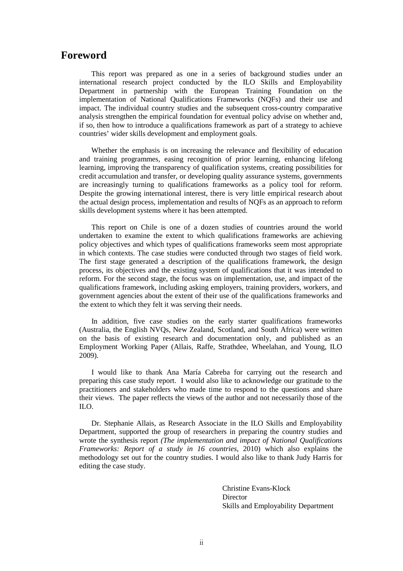## **Foreword**

This report was prepared as one in a series of background studies under an international research project conducted by the ILO Skills and Employability Department in partnership with the European Training Foundation on the implementation of National Qualifications Frameworks (NQFs) and their use and impact. The individual country studies and the subsequent cross-country comparative analysis strengthen the empirical foundation for eventual policy advise on whether and, if so, then how to introduce a qualifications framework as part of a strategy to achieve countries' wider skills development and employment goals.

Whether the emphasis is on increasing the relevance and flexibility of education and training programmes, easing recognition of prior learning, enhancing lifelong learning, improving the transparency of qualification systems, creating possibilities for credit accumulation and transfer, or developing quality assurance systems, governments are increasingly turning to qualifications frameworks as a policy tool for reform. Despite the growing international interest, there is very little empirical research about the actual design process, implementation and results of NQFs as an approach to reform skills development systems where it has been attempted.

This report on Chile is one of a dozen studies of countries around the world undertaken to examine the extent to which qualifications frameworks are achieving policy objectives and which types of qualifications frameworks seem most appropriate in which contexts. The case studies were conducted through two stages of field work. The first stage generated a description of the qualifications framework, the design process, its objectives and the existing system of qualifications that it was intended to reform. For the second stage, the focus was on implementation, use, and impact of the qualifications framework, including asking employers, training providers, workers, and government agencies about the extent of their use of the qualifications frameworks and the extent to which they felt it was serving their needs.

In addition, five case studies on the early starter qualifications frameworks (Australia, the English NVQs, New Zealand, Scotland, and South Africa) were written on the basis of existing research and documentation only, and published as an Employment Working Paper (Allais, Raffe, Strathdee, Wheelahan, and Young, ILO 2009).

I would like to thank Ana María Cabreba for carrying out the research and preparing this case study report. I would also like to acknowledge our gratitude to the practitioners and stakeholders who made time to respond to the questions and share their views. The paper reflects the views of the author and not necessarily those of the ILO.

Dr. Stephanie Allais, as Research Associate in the ILO Skills and Employability Department, supported the group of researchers in preparing the country studies and wrote the synthesis report *(The implementation and impact of National Qualifications Frameworks: Report of a study in 16 countries*, 2010) which also explains the methodology set out for the country studies. I would also like to thank Judy Harris for editing the case study.

> Christine Evans-Klock **Director** Skills and Employability Department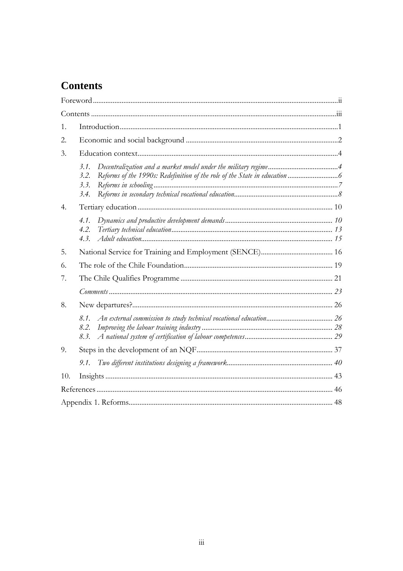# **Contents**

| 1.  |                              |  |
|-----|------------------------------|--|
| 2.  |                              |  |
| 3.  |                              |  |
|     | 3.1.<br>3.2.<br>3.3.<br>3.4. |  |
| 4.  |                              |  |
|     | 4.1.<br>4.2.<br>4.3.         |  |
| 5.  |                              |  |
| 6.  |                              |  |
| 7.  |                              |  |
|     |                              |  |
| 8.  |                              |  |
|     | 8.1.<br>8.2.<br>8.3.         |  |
| 9.  |                              |  |
|     |                              |  |
| 10. |                              |  |
|     |                              |  |
|     |                              |  |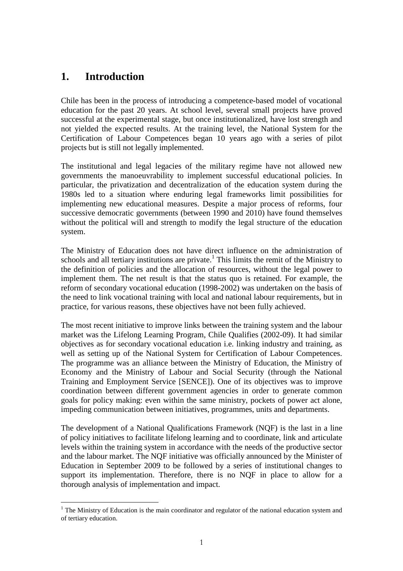## **1. Introduction**

Chile has been in the process of introducing a competence-based model of vocational education for the past 20 years. At school level, several small projects have proved successful at the experimental stage, but once institutionalized, have lost strength and not yielded the expected results. At the training level, the National System for the Certification of Labour Competences began 10 years ago with a series of pilot projects but is still not legally implemented.

The institutional and legal legacies of the military regime have not allowed new governments the manoeuvrability to implement successful educational policies. In particular, the privatization and decentralization of the education system during the 1980s led to a situation where enduring legal frameworks limit possibilities for implementing new educational measures. Despite a major process of reforms, four successive democratic governments (between 1990 and 2010) have found themselves without the political will and strength to modify the legal structure of the education system.

The Ministry of Education does not have direct influence on the administration of schools and all tertiary institutions are private.<sup>1</sup> This limits the remit of the Ministry to the definition of policies and the allocation of resources, without the legal power to implement them. The net result is that the status quo is retained. For example, the reform of secondary vocational education (1998-2002) was undertaken on the basis of the need to link vocational training with local and national labour requirements, but in practice, for various reasons, these objectives have not been fully achieved.

The most recent initiative to improve links between the training system and the labour market was the Lifelong Learning Program, Chile Qualifies (2002-09). It had similar objectives as for secondary vocational education i.e. linking industry and training, as well as setting up of the National System for Certification of Labour Competences. The programme was an alliance between the Ministry of Education, the Ministry of Economy and the Ministry of Labour and Social Security (through the National Training and Employment Service [SENCE]). One of its objectives was to improve coordination between different government agencies in order to generate common goals for policy making: even within the same ministry, pockets of power act alone, impeding communication between initiatives, programmes, units and departments.

The development of a National Qualifications Framework (NQF) is the last in a line of policy initiatives to facilitate lifelong learning and to coordinate, link and articulate levels within the training system in accordance with the needs of the productive sector and the labour market. The NQF initiative was officially announced by the Minister of Education in September 2009 to be followed by a series of institutional changes to support its implementation. Therefore, there is no NQF in place to allow for a thorough analysis of implementation and impact.

 $\overline{a}$ <sup>1</sup> The Ministry of Education is the main coordinator and regulator of the national education system and of tertiary education.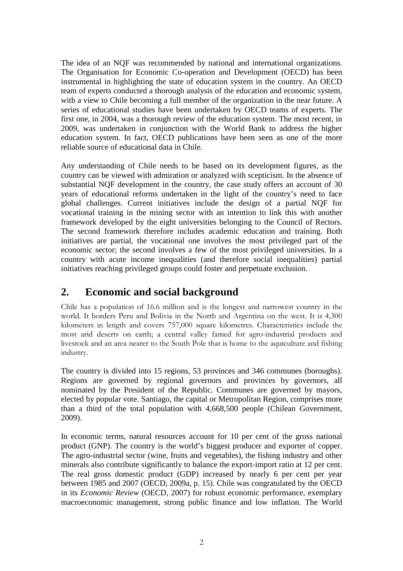The idea of an NQF was recommended by national and international organizations. The Organisation for Economic Co-operation and Development (OECD) has been instrumental in highlighting the state of education system in the country. An OECD team of experts conducted a thorough analysis of the education and economic system, with a view to Chile becoming a full member of the organization in the near future. A series of educational studies have been undertaken by OECD teams of experts. The first one, in 2004, was a thorough review of the education system. The most recent, in 2009, was undertaken in conjunction with the World Bank to address the higher education system. In fact, OECD publications have been seen as one of the more reliable source of educational data in Chile.

Any understanding of Chile needs to be based on its development figures, as the country can be viewed with admiration or analyzed with scepticism. In the absence of substantial NQF development in the country, the case study offers an account of 30 years of educational reforms undertaken in the light of the country's need to face global challenges. Current initiatives include the design of a partial NQF for vocational training in the mining sector with an intention to link this with another framework developed by the eight universities belonging to the Council of Rectors. The second framework therefore includes academic education and training. Both initiatives are partial, the vocational one involves the most privileged part of the economic sector; the second involves a few of the most privileged universities. In a country with acute income inequalities (and therefore social inequalities) partial initiatives reaching privileged groups could foster and perpetuate exclusion.

## **2. Economic and social background**

Chile has a population of 16.6 million and is the longest and narrowest country in the world. It borders Peru and Bolivia in the North and Argentina on the west. It is 4,300 kilometers in length and covers 757,000 square kilometres. Characteristics include the most arid deserts on earth; a central valley famed for agro-industrial products and livestock and an area nearer to the South Pole that is home to the aquiculture and fishing industry.

The country is divided into 15 regions, 53 provinces and 346 communes (boroughs). Regions are governed by regional governors and provinces by governors, all nominated by the President of the Republic. Communes are governed by mayors, elected by popular vote. Santiago, the capital or Metropolitan Region, comprises more than a third of the total population with 4,668,500 people (Chilean Government, 2009).

In economic terms, natural resources account for 10 per cent of the gross national product (GNP). The country is the world's biggest producer and exporter of copper. The agro-industrial sector (wine, fruits and vegetables), the fishing industry and other minerals also contribute significantly to balance the export-import ratio at 12 per cent. The real gross domestic product (GDP) increased by nearly 6 per cent per year between 1985 and 2007 (OECD, 2009a, p. 15). Chile was congratulated by the OECD in its *Economic Review* (OECD, 2007) for robust economic performance, exemplary macroeconomic management, strong public finance and low inflation. The World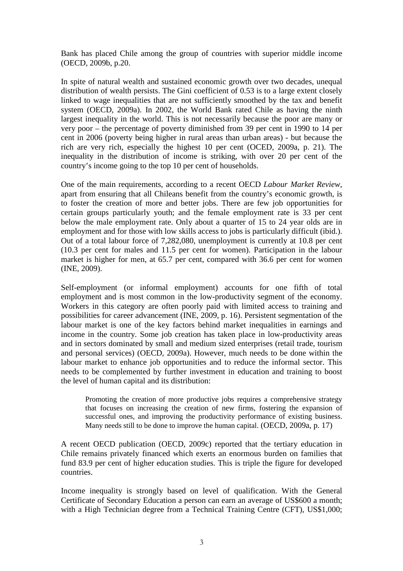Bank has placed Chile among the group of countries with superior middle income (OECD, 2009b, p.20.

In spite of natural wealth and sustained economic growth over two decades, unequal distribution of wealth persists. The Gini coefficient of 0.53 is to a large extent closely linked to wage inequalities that are not sufficiently smoothed by the tax and benefit system (OECD, 2009a). In 2002, the World Bank rated Chile as having the ninth largest inequality in the world. This is not necessarily because the poor are many or very poor – the percentage of poverty diminished from 39 per cent in 1990 to 14 per cent in 2006 (poverty being higher in rural areas than urban areas) - but because the rich are very rich, especially the highest 10 per cent (OCED, 2009a, p. 21). The inequality in the distribution of income is striking, with over 20 per cent of the country's income going to the top 10 per cent of households.

One of the main requirements, according to a recent OECD *Labour Market Review*, apart from ensuring that all Chileans benefit from the country's economic growth, is to foster the creation of more and better jobs. There are few job opportunities for certain groups particularly youth; and the female employment rate is 33 per cent below the male employment rate. Only about a quarter of 15 to 24 year olds are in employment and for those with low skills access to jobs is particularly difficult (ibid.). Out of a total labour force of 7,282,080, unemployment is currently at 10.8 per cent (10.3 per cent for males and 11.5 per cent for women). Participation in the labour market is higher for men, at 65.7 per cent, compared with 36.6 per cent for women (INE, 2009).

Self-employment (or informal employment) accounts for one fifth of total employment and is most common in the low-productivity segment of the economy. Workers in this category are often poorly paid with limited access to training and possibilities for career advancement (INE, 2009, p. 16). Persistent segmentation of the labour market is one of the key factors behind market inequalities in earnings and income in the country. Some job creation has taken place in low-productivity areas and in sectors dominated by small and medium sized enterprises (retail trade, tourism and personal services) (OECD, 2009a). However, much needs to be done within the labour market to enhance job opportunities and to reduce the informal sector. This needs to be complemented by further investment in education and training to boost the level of human capital and its distribution:

Promoting the creation of more productive jobs requires a comprehensive strategy that focuses on increasing the creation of new firms, fostering the expansion of successful ones, and improving the productivity performance of existing business. Many needs still to be done to improve the human capital. (OECD, 2009a, p. 17)

A recent OECD publication (OECD, 2009c) reported that the tertiary education in Chile remains privately financed which exerts an enormous burden on families that fund 83.9 per cent of higher education studies. This is triple the figure for developed countries.

Income inequality is strongly based on level of qualification. With the General Certificate of Secondary Education a person can earn an average of US\$600 a month; with a High Technician degree from a Technical Training Centre (CFT), US\$1,000;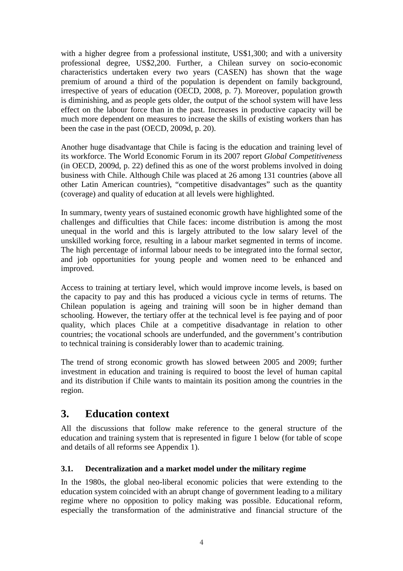with a higher degree from a professional institute, US\$1,300; and with a university professional degree, US\$2,200. Further, a Chilean survey on socio-economic characteristics undertaken every two years (CASEN) has shown that the wage premium of around a third of the population is dependent on family background, irrespective of years of education (OECD, 2008, p. 7). Moreover, population growth is diminishing, and as people gets older, the output of the school system will have less effect on the labour force than in the past. Increases in productive capacity will be much more dependent on measures to increase the skills of existing workers than has been the case in the past (OECD, 2009d, p. 20).

Another huge disadvantage that Chile is facing is the education and training level of its workforce. The World Economic Forum in its 2007 report *Global Competitiveness* (in OECD, 2009d, p. 22) defined this as one of the worst problems involved in doing business with Chile. Although Chile was placed at 26 among 131 countries (above all other Latin American countries), "competitive disadvantages" such as the quantity (coverage) and quality of education at all levels were highlighted.

In summary, twenty years of sustained economic growth have highlighted some of the challenges and difficulties that Chile faces: income distribution is among the most unequal in the world and this is largely attributed to the low salary level of the unskilled working force, resulting in a labour market segmented in terms of income. The high percentage of informal labour needs to be integrated into the formal sector, and job opportunities for young people and women need to be enhanced and improved.

Access to training at tertiary level, which would improve income levels, is based on the capacity to pay and this has produced a vicious cycle in terms of returns. The Chilean population is ageing and training will soon be in higher demand than schooling. However, the tertiary offer at the technical level is fee paying and of poor quality, which places Chile at a competitive disadvantage in relation to other countries; the vocational schools are underfunded, and the government's contribution to technical training is considerably lower than to academic training.

The trend of strong economic growth has slowed between 2005 and 2009; further investment in education and training is required to boost the level of human capital and its distribution if Chile wants to maintain its position among the countries in the region.

## **3. Education context**

All the discussions that follow make reference to the general structure of the education and training system that is represented in figure 1 below (for table of scope and details of all reforms see Appendix 1).

## **3.1. Decentralization and a market model under the military regime**

In the 1980s, the global neo-liberal economic policies that were extending to the education system coincided with an abrupt change of government leading to a military regime where no opposition to policy making was possible. Educational reform, especially the transformation of the administrative and financial structure of the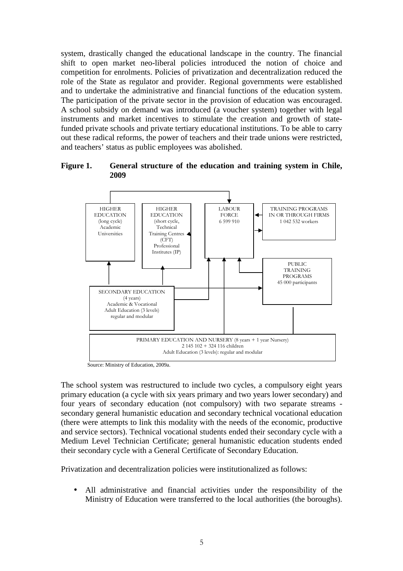system, drastically changed the educational landscape in the country. The financial shift to open market neo-liberal policies introduced the notion of choice and competition for enrolments. Policies of privatization and decentralization reduced the role of the State as regulator and provider. Regional governments were established and to undertake the administrative and financial functions of the education system. The participation of the private sector in the provision of education was encouraged. A school subsidy on demand was introduced (a voucher system) together with legal instruments and market incentives to stimulate the creation and growth of statefunded private schools and private tertiary educational institutions. To be able to carry out these radical reforms, the power of teachers and their trade unions were restricted, and teachers' status as public employees was abolished.

**Figure 1. General structure of the education and training system in Chile, 2009**



Source: Ministry of Education, 2009a.

The school system was restructured to include two cycles, a compulsory eight years primary education (a cycle with six years primary and two years lower secondary) and four years of secondary education (not compulsory) with two separate streams secondary general humanistic education and secondary technical vocational education (there were attempts to link this modality with the needs of the economic, productive and service sectors). Technical vocational students ended their secondary cycle with a Medium Level Technician Certificate; general humanistic education students ended their secondary cycle with a General Certificate of Secondary Education.

Privatization and decentralization policies were institutionalized as follows:

• All administrative and financial activities under the responsibility of the Ministry of Education were transferred to the local authorities (the boroughs).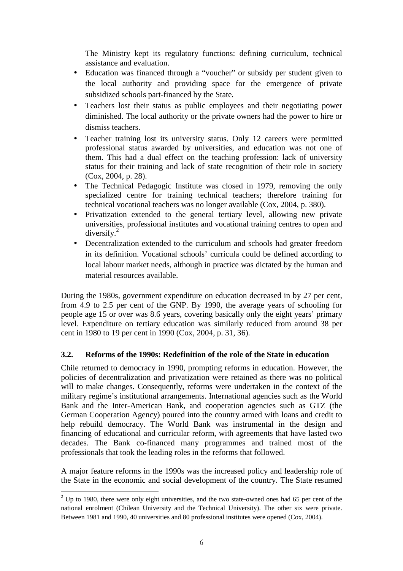The Ministry kept its regulatory functions: defining curriculum, technical assistance and evaluation.

- Education was financed through a "voucher" or subsidy per student given to the local authority and providing space for the emergence of private subsidized schools part-financed by the State.
- Teachers lost their status as public employees and their negotiating power diminished. The local authority or the private owners had the power to hire or dismiss teachers.
- Teacher training lost its university status. Only 12 careers were permitted professional status awarded by universities, and education was not one of them. This had a dual effect on the teaching profession: lack of university status for their training and lack of state recognition of their role in society (Cox, 2004, p. 28).
- The Technical Pedagogic Institute was closed in 1979, removing the only specialized centre for training technical teachers; therefore training for technical vocational teachers was no longer available (Cox, 2004, p. 380).
- Privatization extended to the general tertiary level, allowing new private universities, professional institutes and vocational training centres to open and diversify. $^{2}$
- Decentralization extended to the curriculum and schools had greater freedom in its definition. Vocational schools' curricula could be defined according to local labour market needs, although in practice was dictated by the human and material resources available.

During the 1980s, government expenditure on education decreased in by 27 per cent, from 4.9 to 2.5 per cent of the GNP. By 1990, the average years of schooling for people age 15 or over was 8.6 years, covering basically only the eight years' primary level. Expenditure on tertiary education was similarly reduced from around 38 per cent in 1980 to 19 per cent in 1990 (Cox, 2004, p. 31, 36).

## **3.2. Reforms of the 1990s: Redefinition of the role of the State in education**

Chile returned to democracy in 1990, prompting reforms in education. However, the policies of decentralization and privatization were retained as there was no political will to make changes. Consequently, reforms were undertaken in the context of the military regime's institutional arrangements. International agencies such as the World Bank and the Inter-American Bank, and cooperation agencies such as GTZ (the German Cooperation Agency) poured into the country armed with loans and credit to help rebuild democracy. The World Bank was instrumental in the design and financing of educational and curricular reform, with agreements that have lasted two decades. The Bank co-financed many programmes and trained most of the professionals that took the leading roles in the reforms that followed.

A major feature reforms in the 1990s was the increased policy and leadership role of the State in the economic and social development of the country. The State resumed

 $\overline{a}$  $2$  Up to 1980, there were only eight universities, and the two state-owned ones had 65 per cent of the national enrolment (Chilean University and the Technical University). The other six were private. Between 1981 and 1990, 40 universities and 80 professional institutes were opened (Cox, 2004).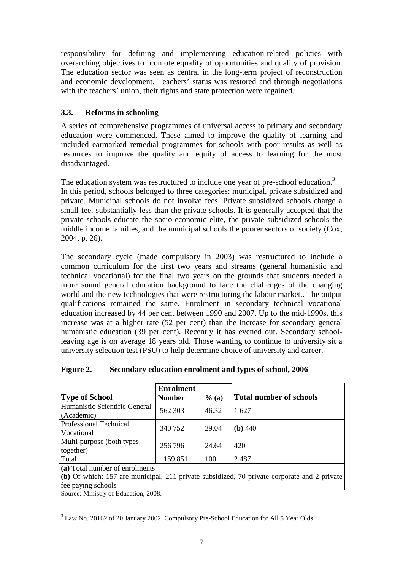responsibility for defining and implementing education-related policies with overarching objectives to promote equality of opportunities and quality of provision. The education sector was seen as central in the long-term project of reconstruction and economic development. Teachers' status was restored and through negotiations with the teachers' union, their rights and state protection were regained.

## **3.3. Reforms in schooling**

A series of comprehensive programmes of universal access to primary and secondary education were commenced. These aimed to improve the quality of learning and included earmarked remedial programmes for schools with poor results as well as resources to improve the quality and equity of access to learning for the most disadvantaged.

The education system was restructured to include one year of pre-school education.<sup>3</sup> In this period, schools belonged to three categories: municipal, private subsidized and private. Municipal schools do not involve fees. Private subsidized schools charge a small fee, substantially less than the private schools. It is generally accepted that the private schools educate the socio-economic elite, the private subsidized schools the middle income families, and the municipal schools the poorer sectors of society (Cox, 2004, p. 26).

The secondary cycle (made compulsory in 2003) was restructured to include a common curriculum for the first two years and streams (general humanistic and technical vocational) for the final two years on the grounds that students needed a more sound general education background to face the challenges of the changing world and the new technologies that were restructuring the labour market.. The output qualifications remained the same. Enrolment in secondary technical vocational education increased by 44 per cent between 1990 and 2007. Up to the mid-1990s, this increase was at a higher rate (52 per cent) than the increase for secondary general humanistic education (39 per cent). Recently it has evened out. Secondary schoolleaving age is on average 18 years old. Those wanting to continue to university sit a university selection test (PSU) to help determine choice of university and career.

|                               | <b>Enrolment</b> |         |                                |  |  |
|-------------------------------|------------------|---------|--------------------------------|--|--|
| <b>Type of School</b>         | <b>Number</b>    | $%$ (a) | <b>Total number of schools</b> |  |  |
| Humanistic Scientific General | 562 303          | 46.32   | 1627                           |  |  |
| (Academic)                    |                  |         |                                |  |  |
| Professional Technical        | 340 752          | 29.04   | $(b)$ 440                      |  |  |
| Vocational                    |                  |         |                                |  |  |
| Multi-purpose (both types     | 256 796          | 24.64   | 420                            |  |  |
| together)                     |                  |         |                                |  |  |
| Total                         | 1 159 851        | 100     | 2487                           |  |  |
|                               |                  |         |                                |  |  |

| Figure 2. | Secondary education enrolment and types of school, 2006 |  |  |  |
|-----------|---------------------------------------------------------|--|--|--|
|           |                                                         |  |  |  |

**(a)** Total number of enrolments

**(b)** Of which: 157 are municipal, 211 private subsidized, 70 private corporate and 2 private fee paying schools

Source: Ministry of Education, 2008.

<sup>&</sup>lt;sup>3</sup> Law No. 20162 of 20 January 2002. Compulsory Pre-School Education for All 5 Year Olds.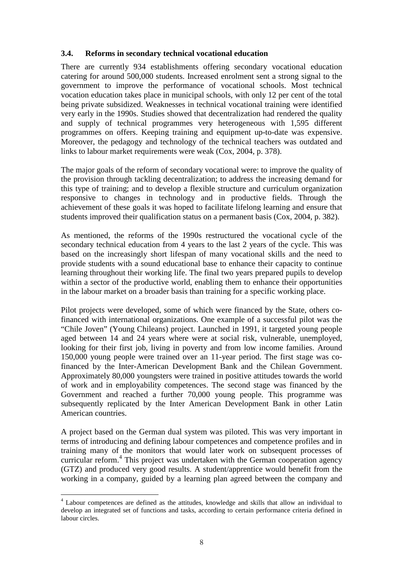#### **3.4. Reforms in secondary technical vocational education**

There are currently 934 establishments offering secondary vocational education catering for around 500,000 students. Increased enrolment sent a strong signal to the government to improve the performance of vocational schools. Most technical vocation education takes place in municipal schools, with only 12 per cent of the total being private subsidized. Weaknesses in technical vocational training were identified very early in the 1990s. Studies showed that decentralization had rendered the quality and supply of technical programmes very heterogeneous with 1,595 different programmes on offers. Keeping training and equipment up-to-date was expensive. Moreover, the pedagogy and technology of the technical teachers was outdated and links to labour market requirements were weak (Cox, 2004, p. 378).

The major goals of the reform of secondary vocational were: to improve the quality of the provision through tackling decentralization; to address the increasing demand for this type of training; and to develop a flexible structure and curriculum organization responsive to changes in technology and in productive fields. Through the achievement of these goals it was hoped to facilitate lifelong learning and ensure that students improved their qualification status on a permanent basis (Cox, 2004, p. 382).

As mentioned, the reforms of the 1990s restructured the vocational cycle of the secondary technical education from 4 years to the last 2 years of the cycle. This was based on the increasingly short lifespan of many vocational skills and the need to provide students with a sound educational base to enhance their capacity to continue learning throughout their working life. The final two years prepared pupils to develop within a sector of the productive world, enabling them to enhance their opportunities in the labour market on a broader basis than training for a specific working place.

Pilot projects were developed, some of which were financed by the State, others cofinanced with international organizations. One example of a successful pilot was the "Chile Joven" (Young Chileans) project. Launched in 1991, it targeted young people aged between 14 and 24 years where were at social risk, vulnerable, unemployed, looking for their first job, living in poverty and from low income families. Around 150,000 young people were trained over an 11-year period. The first stage was cofinanced by the Inter-American Development Bank and the Chilean Government. Approximately 80,000 youngsters were trained in positive attitudes towards the world of work and in employability competences. The second stage was financed by the Government and reached a further 70,000 young people. This programme was subsequently replicated by the Inter American Development Bank in other Latin American countries.

A project based on the German dual system was piloted. This was very important in terms of introducing and defining labour competences and competence profiles and in training many of the monitors that would later work on subsequent processes of curricular reform.<sup>4</sup> This project was undertaken with the German cooperation agency (GTZ) and produced very good results. A student/apprentice would benefit from the working in a company, guided by a learning plan agreed between the company and

 $\overline{\phantom{a}}$ <sup>4</sup> Labour competences are defined as the attitudes, knowledge and skills that allow an individual to develop an integrated set of functions and tasks, according to certain performance criteria defined in labour circles.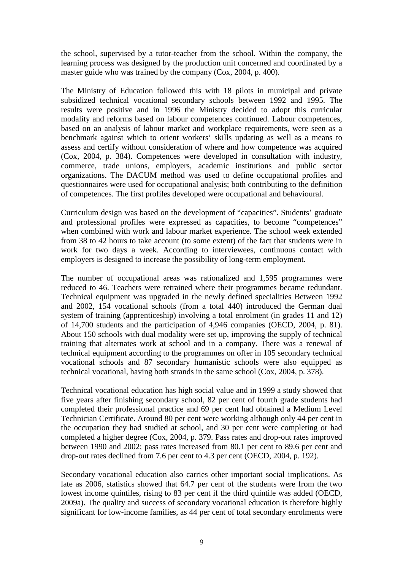the school, supervised by a tutor-teacher from the school. Within the company, the learning process was designed by the production unit concerned and coordinated by a master guide who was trained by the company (Cox, 2004, p. 400).

The Ministry of Education followed this with 18 pilots in municipal and private subsidized technical vocational secondary schools between 1992 and 1995. The results were positive and in 1996 the Ministry decided to adopt this curricular modality and reforms based on labour competences continued. Labour competences, based on an analysis of labour market and workplace requirements, were seen as a benchmark against which to orient workers' skills updating as well as a means to assess and certify without consideration of where and how competence was acquired (Cox, 2004, p. 384). Competences were developed in consultation with industry, commerce, trade unions, employers, academic institutions and public sector organizations. The DACUM method was used to define occupational profiles and questionnaires were used for occupational analysis; both contributing to the definition of competences. The first profiles developed were occupational and behavioural.

Curriculum design was based on the development of "capacities". Students' graduate and professional profiles were expressed as capacities, to become "competences" when combined with work and labour market experience. The school week extended from 38 to 42 hours to take account (to some extent) of the fact that students were in work for two days a week. According to interviewees, continuous contact with employers is designed to increase the possibility of long-term employment.

The number of occupational areas was rationalized and 1,595 programmes were reduced to 46. Teachers were retrained where their programmes became redundant. Technical equipment was upgraded in the newly defined specialities Between 1992 and 2002, 154 vocational schools (from a total 440) introduced the German dual system of training (apprenticeship) involving a total enrolment (in grades 11 and 12) of 14,700 students and the participation of 4,946 companies (OECD, 2004, p. 81). About 150 schools with dual modality were set up, improving the supply of technical training that alternates work at school and in a company. There was a renewal of technical equipment according to the programmes on offer in 105 secondary technical vocational schools and 87 secondary humanistic schools were also equipped as technical vocational, having both strands in the same school (Cox, 2004, p. 378).

Technical vocational education has high social value and in 1999 a study showed that five years after finishing secondary school, 82 per cent of fourth grade students had completed their professional practice and 69 per cent had obtained a Medium Level Technician Certificate. Around 80 per cent were working although only 44 per cent in the occupation they had studied at school, and 30 per cent were completing or had completed a higher degree (Cox, 2004, p. 379. Pass rates and drop-out rates improved between 1990 and 2002; pass rates increased from 80.1 per cent to 89.6 per cent and drop-out rates declined from 7.6 per cent to 4.3 per cent (OECD, 2004, p. 192).

Secondary vocational education also carries other important social implications. As late as 2006, statistics showed that 64.7 per cent of the students were from the two lowest income quintiles, rising to 83 per cent if the third quintile was added (OECD, 2009a). The quality and success of secondary vocational education is therefore highly significant for low-income families, as 44 per cent of total secondary enrolments were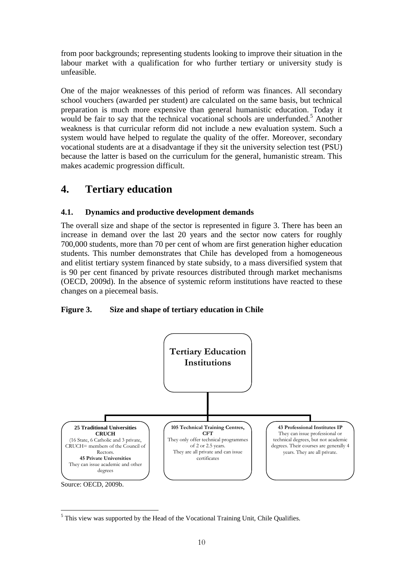from poor backgrounds; representing students looking to improve their situation in the labour market with a qualification for who further tertiary or university study is unfeasible.

One of the major weaknesses of this period of reform was finances. All secondary school vouchers (awarded per student) are calculated on the same basis, but technical preparation is much more expensive than general humanistic education. Today it would be fair to say that the technical vocational schools are underfunded.<sup>5</sup> Another weakness is that curricular reform did not include a new evaluation system. Such a system would have helped to regulate the quality of the offer. Moreover, secondary vocational students are at a disadvantage if they sit the university selection test (PSU) because the latter is based on the curriculum for the general, humanistic stream. This makes academic progression difficult.

## **4. Tertiary education**

## **4.1. Dynamics and productive development demands**

The overall size and shape of the sector is represented in figure 3. There has been an increase in demand over the last 20 years and the sector now caters for roughly 700,000 students, more than 70 per cent of whom are first generation higher education students. This number demonstrates that Chile has developed from a homogeneous and elitist tertiary system financed by state subsidy, to a mass diversified system that is 90 per cent financed by private resources distributed through market mechanisms (OECD, 2009d). In the absence of systemic reform institutions have reacted to these changes on a piecemeal basis.

## **Figure 3. Size and shape of tertiary education in Chile**



 $\overline{a}$ <sup>5</sup> This view was supported by the Head of the Vocational Training Unit, Chile Qualifies.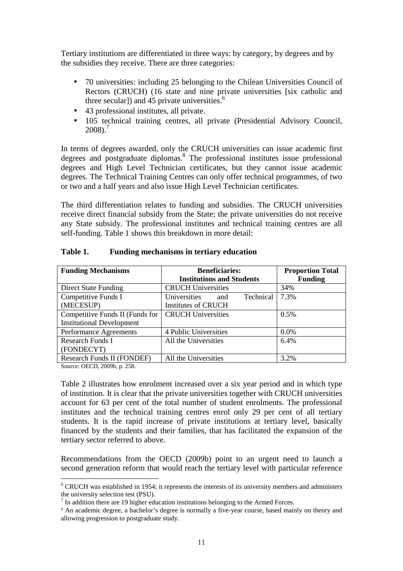Tertiary institutions are differentiated in three ways: by category, by degrees and by the subsidies they receive. There are three categories:

- 70 universities: including 25 belonging to the Chilean Universities Council of Rectors (CRUCH) (16 state and nine private universities [six catholic and three secular]) and 45 private universities. $<sup>6</sup>$ </sup>
- 43 professional institutes, all private.
- 105 technical training centres, all private (Presidential Advisory Council,  $2008$ ).<sup>7</sup>

In terms of degrees awarded, only the CRUCH universities can issue academic first degrees and postgraduate diplomas.<sup>8</sup> The professional institutes issue professional degrees and High Level Technician certificates, but they cannot issue academic degrees. The Technical Training Centres can only offer technical programmes, of two or two and a half years and also issue High Level Technician certificates.

The third differentiation relates to funding and subsidies. The CRUCH universities receive direct financial subsidy from the State; the private universities do not receive any State subsidy. The professional institutes and technical training centres are all self-funding. Table 1 shows this breakdown in more detail:

| <b>Funding Mechanisms</b>        | <b>Beneficiaries:</b>            | <b>Proportion Total</b> |
|----------------------------------|----------------------------------|-------------------------|
|                                  | <b>Institutions and Students</b> | <b>Funding</b>          |
| <b>Direct State Funding</b>      | <b>CRUCH Universities</b>        | 34%                     |
| Competitive Funds I              | Universities<br>Technical<br>and | 7.3%                    |
| (MECESUP)                        | Institutes of CRUCH              |                         |
| Competitive Funds II (Funds for  | <b>CRUCH Universities</b>        | 0.5%                    |
| <b>Institutional Development</b> |                                  |                         |
| Performance Agreements           | 4 Public Universities            | $0.0\%$                 |
| Research Funds I                 | All the Universities             | 6.4%                    |
| (FONDECYT)                       |                                  |                         |
| Research Funds II (FONDEF)       | All the Universities             | 3.2%                    |

#### **Table 1. Funding mechanisms in tertiary education**

Source: OECD, 2009b, p. 258.

Table 2 illustrates how enrolment increased over a six year period and in which type of institution. It is clear that the private universities together with CRUCH universities account for 63 per cent of the total number of student enrolments. The professional institutes and the technical training centres enrol only 29 per cent of all tertiary students. It is the rapid increase of private institutions at tertiary level, basically financed by the students and their families, that has facilitated the expansion of the tertiary sector referred to above.

Recommendations from the OECD (2009b) point to an urgent need to launch a second generation reform that would reach the tertiary level with particular reference

 6 CRUCH was established in 1954; it represents the interests of its university members and administers the university selection test (PSU).

 $<sup>7</sup>$  In addition there are 19 higher education institutions belonging to the Armed Forces.</sup>

<sup>8</sup> An academic degree, a bachelor's degree is normally a five-year course, based mainly on theory and allowing progression to postgraduate study.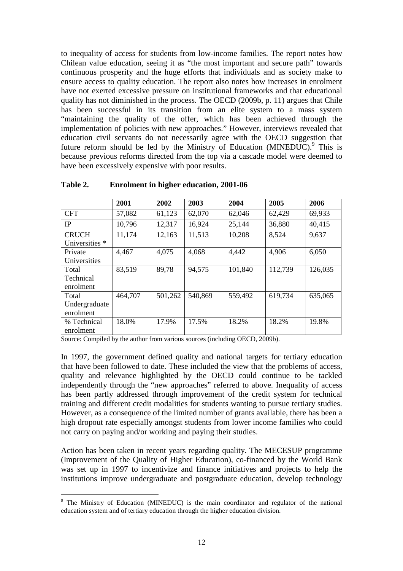to inequality of access for students from low-income families. The report notes how Chilean value education, seeing it as "the most important and secure path" towards continuous prosperity and the huge efforts that individuals and as society make to ensure access to quality education. The report also notes how increases in enrolment have not exerted excessive pressure on institutional frameworks and that educational quality has not diminished in the process. The OECD (2009b, p. 11) argues that Chile has been successful in its transition from an elite system to a mass system "maintaining the quality of the offer, which has been achieved through the implementation of policies with new approaches." However, interviews revealed that education civil servants do not necessarily agree with the OECD suggestion that future reform should be led by the Ministry of Education (MINEDUC). $9$  This is because previous reforms directed from the top via a cascade model were deemed to have been excessively expensive with poor results.

|                | 2001    | 2002    | 2003    | 2004    | 2005    | 2006    |
|----------------|---------|---------|---------|---------|---------|---------|
| <b>CFT</b>     | 57,082  | 61,123  | 62,070  | 62,046  | 62,429  | 69,933  |
| IP             | 10,796  | 12,317  | 16,924  | 25,144  | 36,880  | 40,415  |
| <b>CRUCH</b>   | 11,174  | 12,163  | 11,513  | 10,208  | 8,524   | 9,637   |
| Universities * |         |         |         |         |         |         |
| Private        | 4,467   | 4,075   | 4,068   | 4,442   | 4,906   | 6,050   |
| Universities   |         |         |         |         |         |         |
| Total          | 83,519  | 89,78   | 94,575  | 101,840 | 112,739 | 126,035 |
| Technical      |         |         |         |         |         |         |
| enrolment      |         |         |         |         |         |         |
| Total          | 464,707 | 501,262 | 540,869 | 559,492 | 619,734 | 635,065 |
| Undergraduate  |         |         |         |         |         |         |
| enrolment      |         |         |         |         |         |         |
| % Technical    | 18.0%   | 17.9%   | 17.5%   | 18.2%   | 18.2%   | 19.8%   |
| enrolment      |         |         |         |         |         |         |

#### **Table 2. Enrolment in higher education, 2001-06**

Source: Compiled by the author from various sources (including OECD, 2009b).

In 1997, the government defined quality and national targets for tertiary education that have been followed to date. These included the view that the problems of access, quality and relevance highlighted by the OECD could continue to be tackled independently through the "new approaches" referred to above. Inequality of access has been partly addressed through improvement of the credit system for technical training and different credit modalities for students wanting to pursue tertiary studies. However, as a consequence of the limited number of grants available, there has been a high dropout rate especially amongst students from lower income families who could not carry on paying and/or working and paying their studies.

Action has been taken in recent years regarding quality. The MECESUP programme (Improvement of the Quality of Higher Education), co-financed by the World Bank was set up in 1997 to incentivize and finance initiatives and projects to help the institutions improve undergraduate and postgraduate education, develop technology

<sup>&</sup>lt;sup>9</sup> The Ministry of Education (MINEDUC) is the main coordinator and regulator of the national education system and of tertiary education through the higher education division.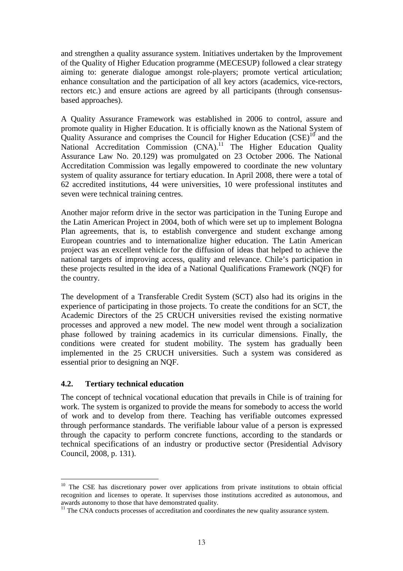and strengthen a quality assurance system. Initiatives undertaken by the Improvement of the Quality of Higher Education programme (MECESUP) followed a clear strategy aiming to: generate dialogue amongst role-players; promote vertical articulation; enhance consultation and the participation of all key actors (academics, vice-rectors, rectors etc.) and ensure actions are agreed by all participants (through consensusbased approaches).

A Quality Assurance Framework was established in 2006 to control, assure and promote quality in Higher Education. It is officially known as the National System of Quality Assurance and comprises the Council for Higher Education  $(CSE)^{10}$  and the National Accreditation Commission  $(CNA)$ .<sup>11</sup> The Higher Education Quality Assurance Law No. 20.129) was promulgated on 23 October 2006. The National Accreditation Commission was legally empowered to coordinate the new voluntary system of quality assurance for tertiary education. In April 2008, there were a total of 62 accredited institutions, 44 were universities, 10 were professional institutes and seven were technical training centres.

Another major reform drive in the sector was participation in the Tuning Europe and the Latin American Project in 2004, both of which were set up to implement Bologna Plan agreements, that is, to establish convergence and student exchange among European countries and to internationalize higher education. The Latin American project was an excellent vehicle for the diffusion of ideas that helped to achieve the national targets of improving access, quality and relevance. Chile's participation in these projects resulted in the idea of a National Qualifications Framework (NQF) for the country.

The development of a Transferable Credit System (SCT) also had its origins in the experience of participating in those projects. To create the conditions for an SCT, the Academic Directors of the 25 CRUCH universities revised the existing normative processes and approved a new model. The new model went through a socialization phase followed by training academics in its curricular dimensions. Finally, the conditions were created for student mobility. The system has gradually been implemented in the 25 CRUCH universities. Such a system was considered as essential prior to designing an NQF.

### **4.2. Tertiary technical education**

The concept of technical vocational education that prevails in Chile is of training for work. The system is organized to provide the means for somebody to access the world of work and to develop from there. Teaching has verifiable outcomes expressed through performance standards. The verifiable labour value of a person is expressed through the capacity to perform concrete functions, according to the standards or technical specifications of an industry or productive sector (Presidential Advisory Council, 2008, p. 131).

 $\overline{a}$ <sup>10</sup> The CSE has discretionary power over applications from private institutions to obtain official recognition and licenses to operate. It supervises those institutions accredited as autonomous, and awards autonomy to those that have demonstrated quality.

<sup>&</sup>lt;sup>11</sup> The CNA conducts processes of accreditation and coordinates the new quality assurance system.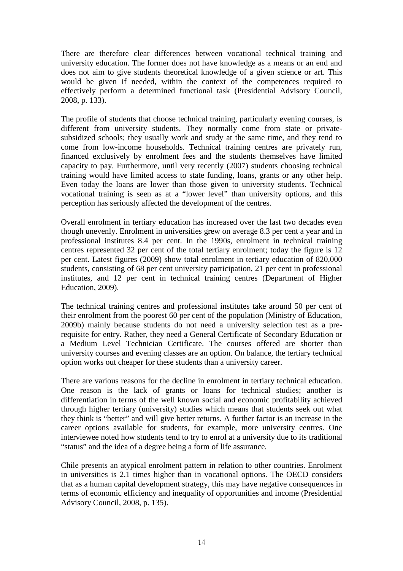There are therefore clear differences between vocational technical training and university education. The former does not have knowledge as a means or an end and does not aim to give students theoretical knowledge of a given science or art. This would be given if needed, within the context of the competences required to effectively perform a determined functional task (Presidential Advisory Council, 2008, p. 133).

The profile of students that choose technical training, particularly evening courses, is different from university students. They normally come from state or privatesubsidized schools; they usually work and study at the same time, and they tend to come from low-income households. Technical training centres are privately run, financed exclusively by enrolment fees and the students themselves have limited capacity to pay. Furthermore, until very recently (2007) students choosing technical training would have limited access to state funding, loans, grants or any other help. Even today the loans are lower than those given to university students. Technical vocational training is seen as at a "lower level" than university options, and this perception has seriously affected the development of the centres.

Overall enrolment in tertiary education has increased over the last two decades even though unevenly. Enrolment in universities grew on average 8.3 per cent a year and in professional institutes 8.4 per cent. In the 1990s, enrolment in technical training centres represented 32 per cent of the total tertiary enrolment; today the figure is 12 per cent. Latest figures (2009) show total enrolment in tertiary education of 820,000 students, consisting of 68 per cent university participation, 21 per cent in professional institutes, and 12 per cent in technical training centres (Department of Higher Education, 2009).

The technical training centres and professional institutes take around 50 per cent of their enrolment from the poorest 60 per cent of the population (Ministry of Education, 2009b) mainly because students do not need a university selection test as a prerequisite for entry. Rather, they need a General Certificate of Secondary Education or a Medium Level Technician Certificate. The courses offered are shorter than university courses and evening classes are an option. On balance, the tertiary technical option works out cheaper for these students than a university career.

There are various reasons for the decline in enrolment in tertiary technical education. One reason is the lack of grants or loans for technical studies; another is differentiation in terms of the well known social and economic profitability achieved through higher tertiary (university) studies which means that students seek out what they think is "better" and will give better returns. A further factor is an increase in the career options available for students, for example, more university centres. One interviewee noted how students tend to try to enrol at a university due to its traditional "status" and the idea of a degree being a form of life assurance.

Chile presents an atypical enrolment pattern in relation to other countries. Enrolment in universities is 2.1 times higher than in vocational options. The OECD considers that as a human capital development strategy, this may have negative consequences in terms of economic efficiency and inequality of opportunities and income (Presidential Advisory Council, 2008, p. 135).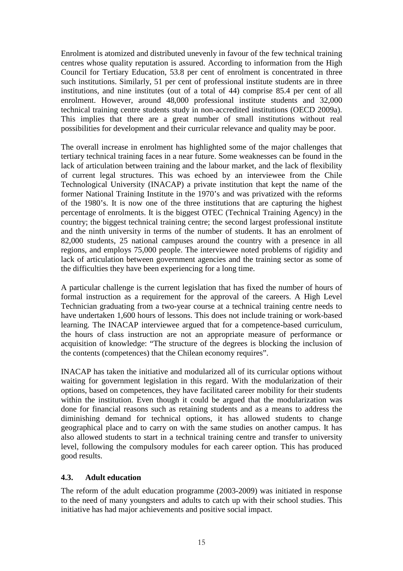Enrolment is atomized and distributed unevenly in favour of the few technical training centres whose quality reputation is assured. According to information from the High Council for Tertiary Education, 53.8 per cent of enrolment is concentrated in three such institutions. Similarly, 51 per cent of professional institute students are in three institutions, and nine institutes (out of a total of 44) comprise 85.4 per cent of all enrolment. However, around 48,000 professional institute students and 32,000 technical training centre students study in non-accredited institutions (OECD 2009a). This implies that there are a great number of small institutions without real possibilities for development and their curricular relevance and quality may be poor.

The overall increase in enrolment has highlighted some of the major challenges that tertiary technical training faces in a near future. Some weaknesses can be found in the lack of articulation between training and the labour market, and the lack of flexibility of current legal structures. This was echoed by an interviewee from the Chile Technological University (INACAP) a private institution that kept the name of the former National Training Institute in the 1970's and was privatized with the reforms of the 1980's. It is now one of the three institutions that are capturing the highest percentage of enrolments. It is the biggest OTEC (Technical Training Agency) in the country; the biggest technical training centre; the second largest professional institute and the ninth university in terms of the number of students. It has an enrolment of 82,000 students, 25 national campuses around the country with a presence in all regions, and employs 75,000 people. The interviewee noted problems of rigidity and lack of articulation between government agencies and the training sector as some of the difficulties they have been experiencing for a long time.

A particular challenge is the current legislation that has fixed the number of hours of formal instruction as a requirement for the approval of the careers. A High Level Technician graduating from a two-year course at a technical training centre needs to have undertaken 1,600 hours of lessons. This does not include training or work-based learning. The INACAP interviewee argued that for a competence-based curriculum, the hours of class instruction are not an appropriate measure of performance or acquisition of knowledge: "The structure of the degrees is blocking the inclusion of the contents (competences) that the Chilean economy requires".

INACAP has taken the initiative and modularized all of its curricular options without waiting for government legislation in this regard. With the modularization of their options, based on competences, they have facilitated career mobility for their students within the institution. Even though it could be argued that the modularization was done for financial reasons such as retaining students and as a means to address the diminishing demand for technical options, it has allowed students to change geographical place and to carry on with the same studies on another campus. It has also allowed students to start in a technical training centre and transfer to university level, following the compulsory modules for each career option. This has produced good results.

### **4.3. Adult education**

The reform of the adult education programme (2003-2009) was initiated in response to the need of many youngsters and adults to catch up with their school studies. This initiative has had major achievements and positive social impact.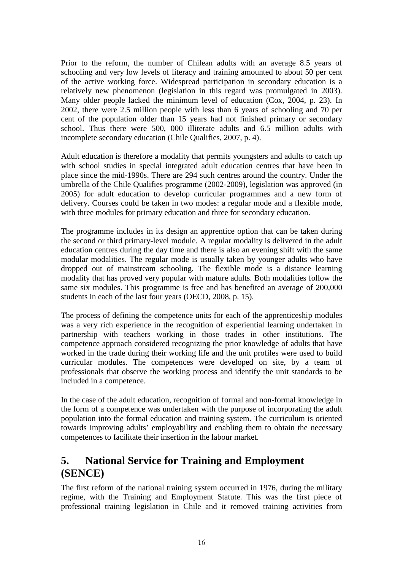Prior to the reform, the number of Chilean adults with an average 8.5 years of schooling and very low levels of literacy and training amounted to about 50 per cent of the active working force. Widespread participation in secondary education is a relatively new phenomenon (legislation in this regard was promulgated in 2003). Many older people lacked the minimum level of education (Cox, 2004, p. 23). In 2002, there were 2.5 million people with less than 6 years of schooling and 70 per cent of the population older than 15 years had not finished primary or secondary school. Thus there were 500, 000 illiterate adults and 6.5 million adults with incomplete secondary education (Chile Qualifies, 2007, p. 4).

Adult education is therefore a modality that permits youngsters and adults to catch up with school studies in special integrated adult education centres that have been in place since the mid-1990s. There are 294 such centres around the country. Under the umbrella of the Chile Qualifies programme (2002-2009), legislation was approved (in 2005) for adult education to develop curricular programmes and a new form of delivery. Courses could be taken in two modes: a regular mode and a flexible mode, with three modules for primary education and three for secondary education.

The programme includes in its design an apprentice option that can be taken during the second or third primary-level module. A regular modality is delivered in the adult education centres during the day time and there is also an evening shift with the same modular modalities. The regular mode is usually taken by younger adults who have dropped out of mainstream schooling. The flexible mode is a distance learning modality that has proved very popular with mature adults. Both modalities follow the same six modules. This programme is free and has benefited an average of 200,000 students in each of the last four years (OECD, 2008, p. 15).

The process of defining the competence units for each of the apprenticeship modules was a very rich experience in the recognition of experiential learning undertaken in partnership with teachers working in those trades in other institutions. The competence approach considered recognizing the prior knowledge of adults that have worked in the trade during their working life and the unit profiles were used to build curricular modules. The competences were developed on site, by a team of professionals that observe the working process and identify the unit standards to be included in a competence.

In the case of the adult education, recognition of formal and non-formal knowledge in the form of a competence was undertaken with the purpose of incorporating the adult population into the formal education and training system. The curriculum is oriented towards improving adults' employability and enabling them to obtain the necessary competences to facilitate their insertion in the labour market.

## **5. National Service for Training and Employment (SENCE)**

The first reform of the national training system occurred in 1976, during the military regime, with the Training and Employment Statute. This was the first piece of professional training legislation in Chile and it removed training activities from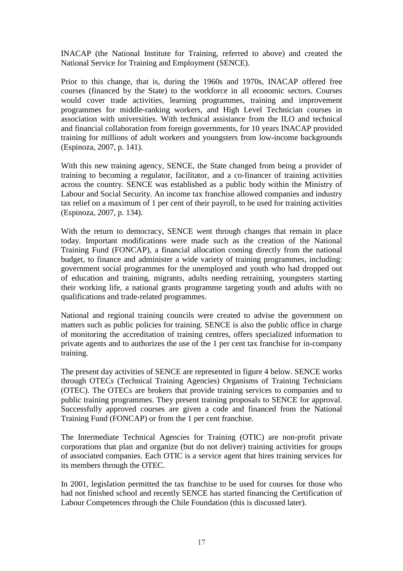INACAP (the National Institute for Training, referred to above) and created the National Service for Training and Employment (SENCE).

Prior to this change, that is, during the 1960s and 1970s, INACAP offered free courses (financed by the State) to the workforce in all economic sectors. Courses would cover trade activities, learning programmes, training and improvement programmes for middle-ranking workers, and High Level Technician courses in association with universities. With technical assistance from the ILO and technical and financial collaboration from foreign governments, for 10 years INACAP provided training for millions of adult workers and youngsters from low-income backgrounds (Espinoza, 2007, p. 141).

With this new training agency, SENCE, the State changed from being a provider of training to becoming a regulator, facilitator, and a co-financer of training activities across the country. SENCE was established as a public body within the Ministry of Labour and Social Security. An income tax franchise allowed companies and industry tax relief on a maximum of 1 per cent of their payroll, to be used for training activities (Espinoza, 2007, p. 134).

With the return to democracy, SENCE went through changes that remain in place today. Important modifications were made such as the creation of the National Training Fund (FONCAP), a financial allocation coming directly from the national budget, to finance and administer a wide variety of training programmes, including: government social programmes for the unemployed and youth who had dropped out of education and training, migrants, adults needing retraining, youngsters starting their working life, a national grants programme targeting youth and adults with no qualifications and trade-related programmes.

National and regional training councils were created to advise the government on matters such as public policies for training. SENCE is also the public office in charge of monitoring the accreditation of training centres, offers specialized information to private agents and to authorizes the use of the 1 per cent tax franchise for in-company training.

The present day activities of SENCE are represented in figure 4 below. SENCE works through OTECs (Technical Training Agencies) Organisms of Training Technicians (OTEC). The OTECs are brokers that provide training services to companies and to public training programmes. They present training proposals to SENCE for approval. Successfully approved courses are given a code and financed from the National Training Fund (FONCAP) or from the 1 per cent franchise.

The Intermediate Technical Agencies for Training (OTIC) are non-profit private corporations that plan and organize (but do not deliver) training activities for groups of associated companies. Each OTIC is a service agent that hires training services for its members through the OTEC.

In 2001, legislation permitted the tax franchise to be used for courses for those who had not finished school and recently SENCE has started financing the Certification of Labour Competences through the Chile Foundation (this is discussed later).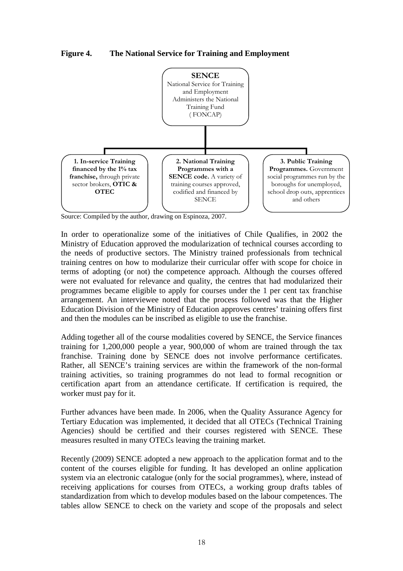**Figure 4. The National Service for Training and Employment** 



Source: Compiled by the author, drawing on Espinoza, 2007.

In order to operationalize some of the initiatives of Chile Qualifies*,* in 2002 the Ministry of Education approved the modularization of technical courses according to the needs of productive sectors. The Ministry trained professionals from technical training centres on how to modularize their curricular offer with scope for choice in terms of adopting (or not) the competence approach. Although the courses offered were not evaluated for relevance and quality, the centres that had modularized their programmes became eligible to apply for courses under the 1 per cent tax franchise arrangement. An interviewee noted that the process followed was that the Higher Education Division of the Ministry of Education approves centres' training offers first and then the modules can be inscribed as eligible to use the franchise.

Adding together all of the course modalities covered by SENCE, the Service finances training for 1,200,000 people a year, 900,000 of whom are trained through the tax franchise. Training done by SENCE does not involve performance certificates. Rather, all SENCE's training services are within the framework of the non-formal training activities, so training programmes do not lead to formal recognition or certification apart from an attendance certificate. If certification is required, the worker must pay for it.

Further advances have been made. In 2006, when the Quality Assurance Agency for Tertiary Education was implemented, it decided that all OTECs (Technical Training Agencies) should be certified and their courses registered with SENCE. These measures resulted in many OTECs leaving the training market.

Recently (2009) SENCE adopted a new approach to the application format and to the content of the courses eligible for funding. It has developed an online application system via an electronic catalogue (only for the social programmes), where, instead of receiving applications for courses from OTECs, a working group drafts tables of standardization from which to develop modules based on the labour competences. The tables allow SENCE to check on the variety and scope of the proposals and select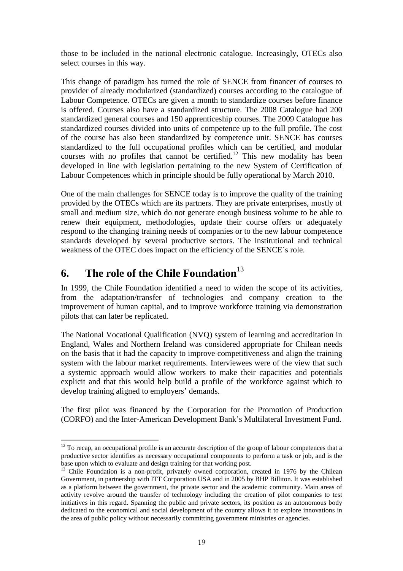those to be included in the national electronic catalogue. Increasingly, OTECs also select courses in this way.

This change of paradigm has turned the role of SENCE from financer of courses to provider of already modularized (standardized) courses according to the catalogue of Labour Competence. OTECs are given a month to standardize courses before finance is offered. Courses also have a standardized structure. The 2008 Catalogue had 200 standardized general courses and 150 apprenticeship courses. The 2009 Catalogue has standardized courses divided into units of competence up to the full profile. The cost of the course has also been standardized by competence unit. SENCE has courses standardized to the full occupational profiles which can be certified, and modular courses with no profiles that cannot be certified.<sup>12</sup> This new modality has been developed in line with legislation pertaining to the new System of Certification of Labour Competences which in principle should be fully operational by March 2010.

One of the main challenges for SENCE today is to improve the quality of the training provided by the OTECs which are its partners. They are private enterprises, mostly of small and medium size, which do not generate enough business volume to be able to renew their equipment, methodologies, update their course offers or adequately respond to the changing training needs of companies or to the new labour competence standards developed by several productive sectors. The institutional and technical weakness of the OTEC does impact on the efficiency of the SENCE´s role.

## **6.** The role of the Chile Foundation<sup>13</sup>

 $\overline{a}$ 

In 1999, the Chile Foundation identified a need to widen the scope of its activities, from the adaptation/transfer of technologies and company creation to the improvement of human capital, and to improve workforce training via demonstration pilots that can later be replicated.

The National Vocational Qualification (NVQ) system of learning and accreditation in England, Wales and Northern Ireland was considered appropriate for Chilean needs on the basis that it had the capacity to improve competitiveness and align the training system with the labour market requirements. Interviewees were of the view that such a systemic approach would allow workers to make their capacities and potentials explicit and that this would help build a profile of the workforce against which to develop training aligned to employers' demands.

The first pilot was financed by the Corporation for the Promotion of Production (CORFO) and the Inter-American Development Bank's Multilateral Investment Fund.

 $12$  To recap, an occupational profile is an accurate description of the group of labour competences that a productive sector identifies as necessary occupational components to perform a task or job, and is the base upon which to evaluate and design training for that working post.

<sup>&</sup>lt;sup>13</sup> Chile Foundation is a non-profit, privately owned corporation, created in 1976 by the Chilean Government, in partnership with ITT Corporation USA and in 2005 by BHP Billiton. It was established as a platform between the government, the private sector and the academic community. Main areas of activity revolve around the transfer of technology including the creation of pilot companies to test initiatives in this regard. Spanning the public and private sectors, its position as an autonomous body dedicated to the economical and social development of the country allows it to explore innovations in the area of public policy without necessarily committing government ministries or agencies.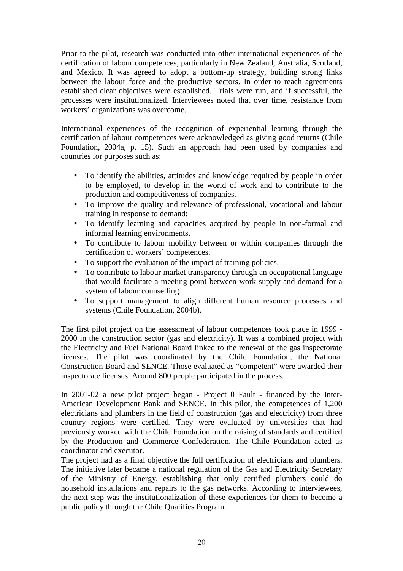Prior to the pilot, research was conducted into other international experiences of the certification of labour competences, particularly in New Zealand, Australia, Scotland, and Mexico. It was agreed to adopt a bottom-up strategy, building strong links between the labour force and the productive sectors. In order to reach agreements established clear objectives were established. Trials were run, and if successful, the processes were institutionalized. Interviewees noted that over time, resistance from workers' organizations was overcome.

International experiences of the recognition of experiential learning through the certification of labour competences were acknowledged as giving good returns (Chile Foundation, 2004a, p. 15). Such an approach had been used by companies and countries for purposes such as:

- To identify the abilities, attitudes and knowledge required by people in order to be employed, to develop in the world of work and to contribute to the production and competitiveness of companies.
- To improve the quality and relevance of professional, vocational and labour training in response to demand;
- To identify learning and capacities acquired by people in non-formal and informal learning environments.
- To contribute to labour mobility between or within companies through the certification of workers' competences.
- To support the evaluation of the impact of training policies.
- To contribute to labour market transparency through an occupational language that would facilitate a meeting point between work supply and demand for a system of labour counselling.
- To support management to align different human resource processes and systems (Chile Foundation, 2004b).

The first pilot project on the assessment of labour competences took place in 1999 - 2000 in the construction sector (gas and electricity). It was a combined project with the Electricity and Fuel National Board linked to the renewal of the gas inspectorate licenses. The pilot was coordinated by the Chile Foundation, the National Construction Board and SENCE. Those evaluated as "competent" were awarded their inspectorate licenses. Around 800 people participated in the process.

In 2001-02 a new pilot project began - Project 0 Fault - financed by the Inter-American Development Bank and SENCE. In this pilot, the competences of 1,200 electricians and plumbers in the field of construction (gas and electricity) from three country regions were certified. They were evaluated by universities that had previously worked with the Chile Foundation on the raising of standards and certified by the Production and Commerce Confederation. The Chile Foundation acted as coordinator and executor.

The project had as a final objective the full certification of electricians and plumbers. The initiative later became a national regulation of the Gas and Electricity Secretary of the Ministry of Energy, establishing that only certified plumbers could do household installations and repairs to the gas networks. According to interviewees, the next step was the institutionalization of these experiences for them to become a public policy through the Chile Qualifies Program.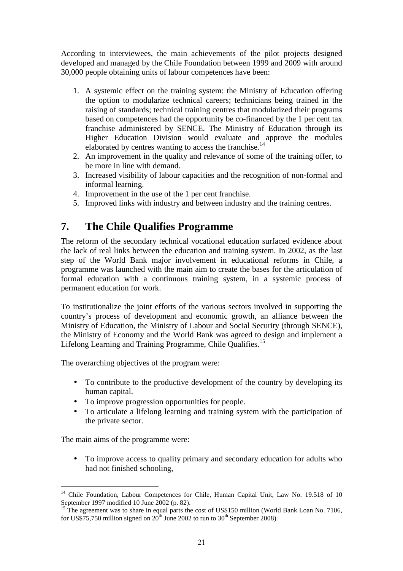According to interviewees, the main achievements of the pilot projects designed developed and managed by the Chile Foundation between 1999 and 2009 with around 30,000 people obtaining units of labour competences have been:

- 1. A systemic effect on the training system: the Ministry of Education offering the option to modularize technical careers; technicians being trained in the raising of standards; technical training centres that modularized their programs based on competences had the opportunity be co-financed by the 1 per cent tax franchise administered by SENCE. The Ministry of Education through its Higher Education Division would evaluate and approve the modules elaborated by centres wanting to access the franchise.<sup>14</sup>
- 2. An improvement in the quality and relevance of some of the training offer, to be more in line with demand.
- 3. Increased visibility of labour capacities and the recognition of non-formal and informal learning.
- 4. Improvement in the use of the 1 per cent franchise.
- 5. Improved links with industry and between industry and the training centres.

## **7. The Chile Qualifies Programme**

The reform of the secondary technical vocational education surfaced evidence about the lack of real links between the education and training system. In 2002, as the last step of the World Bank major involvement in educational reforms in Chile, a programme was launched with the main aim to create the bases for the articulation of formal education with a continuous training system, in a systemic process of permanent education for work.

To institutionalize the joint efforts of the various sectors involved in supporting the country's process of development and economic growth, an alliance between the Ministry of Education, the Ministry of Labour and Social Security (through SENCE), the Ministry of Economy and the World Bank was agreed to design and implement a Lifelong Learning and Training Programme. Chile Qualifies.<sup>15</sup>

The overarching objectives of the program were:

- To contribute to the productive development of the country by developing its human capital.
- To improve progression opportunities for people.
- To articulate a lifelong learning and training system with the participation of the private sector.

The main aims of the programme were:

• To improve access to quality primary and secondary education for adults who had not finished schooling,

 $14$ <sup>14</sup> Chile Foundation, Labour Competences for Chile, Human Capital Unit, Law No. 19.518 of 10 September 1997 modified 10 June 2002 (p. 82).

The agreement was to share in equal parts the cost of US\$150 million (World Bank Loan No. 7106, for US\$75,750 million signed on  $20^{th}$  June 2002 to run to 30<sup>th</sup> September 2008).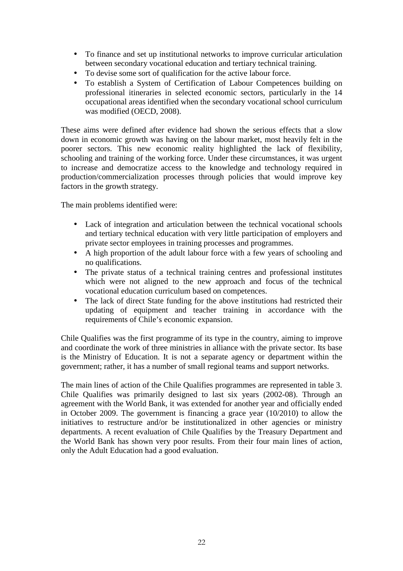- To finance and set up institutional networks to improve curricular articulation between secondary vocational education and tertiary technical training.
- To devise some sort of qualification for the active labour force.
- To establish a System of Certification of Labour Competences building on professional itineraries in selected economic sectors, particularly in the 14 occupational areas identified when the secondary vocational school curriculum was modified (OECD, 2008).

These aims were defined after evidence had shown the serious effects that a slow down in economic growth was having on the labour market, most heavily felt in the poorer sectors. This new economic reality highlighted the lack of flexibility, schooling and training of the working force. Under these circumstances, it was urgent to increase and democratize access to the knowledge and technology required in production/commercialization processes through policies that would improve key factors in the growth strategy.

The main problems identified were:

- Lack of integration and articulation between the technical vocational schools and tertiary technical education with very little participation of employers and private sector employees in training processes and programmes.
- A high proportion of the adult labour force with a few years of schooling and no qualifications.
- The private status of a technical training centres and professional institutes which were not aligned to the new approach and focus of the technical vocational education curriculum based on competences.
- The lack of direct State funding for the above institutions had restricted their updating of equipment and teacher training in accordance with the requirements of Chile's economic expansion.

Chile Qualifies was the first programme of its type in the country, aiming to improve and coordinate the work of three ministries in alliance with the private sector. Its base is the Ministry of Education. It is not a separate agency or department within the government; rather, it has a number of small regional teams and support networks.

The main lines of action of the Chile Qualifies programmes are represented in table 3. Chile Qualifies was primarily designed to last six years (2002-08). Through an agreement with the World Bank, it was extended for another year and officially ended in October 2009. The government is financing a grace year (10/2010) to allow the initiatives to restructure and/or be institutionalized in other agencies or ministry departments. A recent evaluation of Chile Qualifies by the Treasury Department and the World Bank has shown very poor results. From their four main lines of action, only the Adult Education had a good evaluation.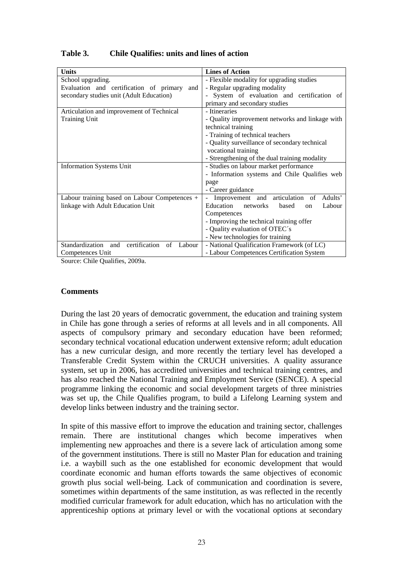| <b>Units</b>                                         | <b>Lines of Action</b>                                 |  |  |
|------------------------------------------------------|--------------------------------------------------------|--|--|
| School upgrading.                                    | - Flexible modality for upgrading studies              |  |  |
| Evaluation and certification of primary<br>and       | - Regular upgrading modality                           |  |  |
| secondary studies unit (Adult Education)             | - System of evaluation and certification of            |  |  |
|                                                      | primary and secondary studies                          |  |  |
| Articulation and improvement of Technical            | - Itineraries                                          |  |  |
| <b>Training Unit</b>                                 | - Quality improvement networks and linkage with        |  |  |
|                                                      | technical training                                     |  |  |
|                                                      | - Training of technical teachers                       |  |  |
|                                                      | - Quality surveillance of secondary technical          |  |  |
|                                                      | vocational training                                    |  |  |
|                                                      | - Strengthening of the dual training modality          |  |  |
| <b>Information Systems Unit</b>                      | - Studies on labour market performance                 |  |  |
|                                                      | - Information systems and Chile Qualifies web          |  |  |
|                                                      | page                                                   |  |  |
|                                                      | - Career guidance                                      |  |  |
| Labour training based on Labour Competences +        | Improvement and articulation of<br>Adults'             |  |  |
| linkage with Adult Education Unit                    | Education networks<br>Labour<br>based<br><sub>on</sub> |  |  |
|                                                      | Competences                                            |  |  |
|                                                      | - Improving the technical training offer               |  |  |
|                                                      | - Quality evaluation of OTEC's                         |  |  |
|                                                      | - New technologies for training                        |  |  |
| Standardization and<br>certification<br>of<br>Labour | - National Qualification Framework (of LC)             |  |  |
| Competences Unit                                     | - Labour Competences Certification System              |  |  |

## **Table 3. Chile Qualifies: units and lines of action**

Source: Chile Qualifies, 2009a.

#### **Comments**

During the last 20 years of democratic government, the education and training system in Chile has gone through a series of reforms at all levels and in all components. All aspects of compulsory primary and secondary education have been reformed; secondary technical vocational education underwent extensive reform; adult education has a new curricular design, and more recently the tertiary level has developed a Transferable Credit System within the CRUCH universities. A quality assurance system, set up in 2006, has accredited universities and technical training centres, and has also reached the National Training and Employment Service (SENCE). A special programme linking the economic and social development targets of three ministries was set up, the Chile Qualifies program, to build a Lifelong Learning system and develop links between industry and the training sector.

In spite of this massive effort to improve the education and training sector, challenges remain. There are institutional changes which become imperatives when implementing new approaches and there is a severe lack of articulation among some of the government institutions. There is still no Master Plan for education and training i.e. a waybill such as the one established for economic development that would coordinate economic and human efforts towards the same objectives of economic growth plus social well-being. Lack of communication and coordination is severe, sometimes within departments of the same institution, as was reflected in the recently modified curricular framework for adult education, which has no articulation with the apprenticeship options at primary level or with the vocational options at secondary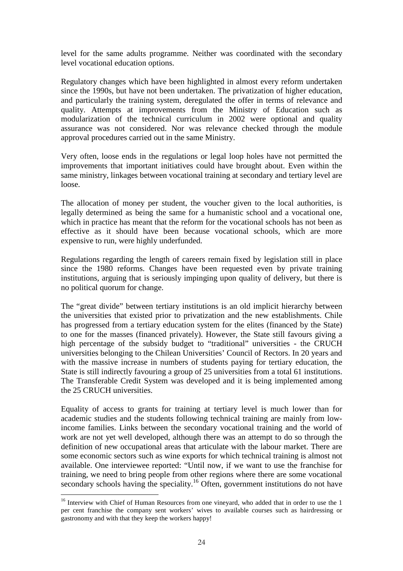level for the same adults programme. Neither was coordinated with the secondary level vocational education options.

Regulatory changes which have been highlighted in almost every reform undertaken since the 1990s, but have not been undertaken. The privatization of higher education, and particularly the training system, deregulated the offer in terms of relevance and quality. Attempts at improvements from the Ministry of Education such as modularization of the technical curriculum in 2002 were optional and quality assurance was not considered. Nor was relevance checked through the module approval procedures carried out in the same Ministry.

Very often, loose ends in the regulations or legal loop holes have not permitted the improvements that important initiatives could have brought about. Even within the same ministry, linkages between vocational training at secondary and tertiary level are loose.

The allocation of money per student, the voucher given to the local authorities, is legally determined as being the same for a humanistic school and a vocational one, which in practice has meant that the reform for the vocational schools has not been as effective as it should have been because vocational schools, which are more expensive to run, were highly underfunded.

Regulations regarding the length of careers remain fixed by legislation still in place since the 1980 reforms. Changes have been requested even by private training institutions, arguing that is seriously impinging upon quality of delivery, but there is no political quorum for change.

The "great divide" between tertiary institutions is an old implicit hierarchy between the universities that existed prior to privatization and the new establishments. Chile has progressed from a tertiary education system for the elites (financed by the State) to one for the masses (financed privately). However, the State still favours giving a high percentage of the subsidy budget to "traditional" universities - the CRUCH universities belonging to the Chilean Universities' Council of Rectors. In 20 years and with the massive increase in numbers of students paying for tertiary education, the State is still indirectly favouring a group of 25 universities from a total 61 institutions. The Transferable Credit System was developed and it is being implemented among the 25 CRUCH universities.

Equality of access to grants for training at tertiary level is much lower than for academic studies and the students following technical training are mainly from lowincome families. Links between the secondary vocational training and the world of work are not yet well developed, although there was an attempt to do so through the definition of new occupational areas that articulate with the labour market. There are some economic sectors such as wine exports for which technical training is almost not available. One interviewee reported: "Until now, if we want to use the franchise for training, we need to bring people from other regions where there are some vocational secondary schools having the speciality.<sup>16</sup> Often, government institutions do not have

 $\overline{\phantom{a}}$ <sup>16</sup> Interview with Chief of Human Resources from one vineyard, who added that in order to use the 1 per cent franchise the company sent workers' wives to available courses such as hairdressing or gastronomy and with that they keep the workers happy!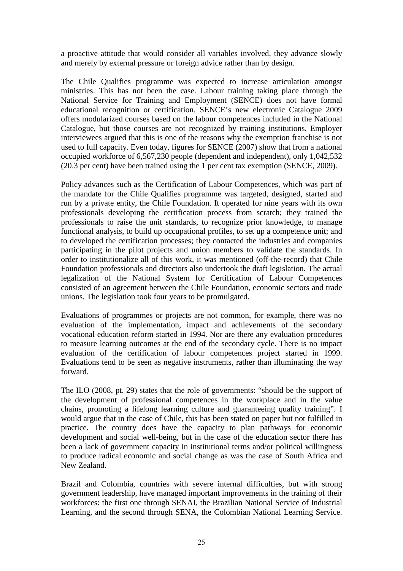a proactive attitude that would consider all variables involved, they advance slowly and merely by external pressure or foreign advice rather than by design.

The Chile Qualifies programme was expected to increase articulation amongst ministries. This has not been the case. Labour training taking place through the National Service for Training and Employment (SENCE) does not have formal educational recognition or certification. SENCE's new electronic Catalogue 2009 offers modularized courses based on the labour competences included in the National Catalogue, but those courses are not recognized by training institutions. Employer interviewees argued that this is one of the reasons why the exemption franchise is not used to full capacity. Even today, figures for SENCE (2007) show that from a national occupied workforce of 6,567,230 people (dependent and independent), only 1,042,532 (20.3 per cent) have been trained using the 1 per cent tax exemption (SENCE, 2009).

Policy advances such as the Certification of Labour Competences, which was part of the mandate for the Chile Qualifies programme was targeted, designed, started and run by a private entity, the Chile Foundation. It operated for nine years with its own professionals developing the certification process from scratch; they trained the professionals to raise the unit standards, to recognize prior knowledge, to manage functional analysis, to build up occupational profiles, to set up a competence unit; and to developed the certification processes; they contacted the industries and companies participating in the pilot projects and union members to validate the standards. In order to institutionalize all of this work, it was mentioned (off-the-record) that Chile Foundation professionals and directors also undertook the draft legislation. The actual legalization of the National System for Certification of Labour Competences consisted of an agreement between the Chile Foundation, economic sectors and trade unions. The legislation took four years to be promulgated.

Evaluations of programmes or projects are not common, for example, there was no evaluation of the implementation, impact and achievements of the secondary vocational education reform started in 1994. Nor are there any evaluation procedures to measure learning outcomes at the end of the secondary cycle. There is no impact evaluation of the certification of labour competences project started in 1999. Evaluations tend to be seen as negative instruments, rather than illuminating the way forward.

The ILO (2008, pt. 29) states that the role of governments: "should be the support of the development of professional competences in the workplace and in the value chains, promoting a lifelong learning culture and guaranteeing quality training". I would argue that in the case of Chile, this has been stated on paper but not fulfilled in practice. The country does have the capacity to plan pathways for economic development and social well-being, but in the case of the education sector there has been a lack of government capacity in institutional terms and/or political willingness to produce radical economic and social change as was the case of South Africa and New Zealand.

Brazil and Colombia, countries with severe internal difficulties, but with strong government leadership, have managed important improvements in the training of their workforces: the first one through SENAI, the Brazilian National Service of Industrial Learning, and the second through SENA, the Colombian National Learning Service.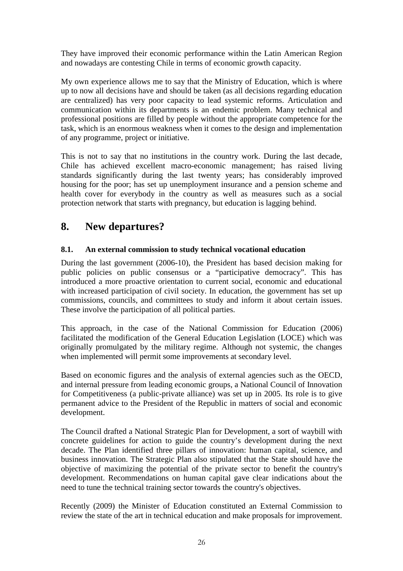They have improved their economic performance within the Latin American Region and nowadays are contesting Chile in terms of economic growth capacity.

My own experience allows me to say that the Ministry of Education, which is where up to now all decisions have and should be taken (as all decisions regarding education are centralized) has very poor capacity to lead systemic reforms. Articulation and communication within its departments is an endemic problem. Many technical and professional positions are filled by people without the appropriate competence for the task, which is an enormous weakness when it comes to the design and implementation of any programme, project or initiative.

This is not to say that no institutions in the country work. During the last decade, Chile has achieved excellent macro-economic management; has raised living standards significantly during the last twenty years; has considerably improved housing for the poor; has set up unemployment insurance and a pension scheme and health cover for everybody in the country as well as measures such as a social protection network that starts with pregnancy, but education is lagging behind.

## **8. New departures?**

## **8.1. An external commission to study technical vocational education**

During the last government (2006-10), the President has based decision making for public policies on public consensus or a "participative democracy". This has introduced a more proactive orientation to current social, economic and educational with increased participation of civil society. In education, the government has set up commissions, councils, and committees to study and inform it about certain issues. These involve the participation of all political parties.

This approach, in the case of the National Commission for Education (2006) facilitated the modification of the General Education Legislation (LOCE) which was originally promulgated by the military regime. Although not systemic, the changes when implemented will permit some improvements at secondary level.

Based on economic figures and the analysis of external agencies such as the OECD, and internal pressure from leading economic groups, a National Council of Innovation for Competitiveness (a public-private alliance) was set up in 2005. Its role is to give permanent advice to the President of the Republic in matters of social and economic development.

The Council drafted a National Strategic Plan for Development, a sort of waybill with concrete guidelines for action to guide the country's development during the next decade. The Plan identified three pillars of innovation: human capital, science, and business innovation. The Strategic Plan also stipulated that the State should have the objective of maximizing the potential of the private sector to benefit the country's development. Recommendations on human capital gave clear indications about the need to tune the technical training sector towards the country's objectives.

Recently (2009) the Minister of Education constituted an External Commission to review the state of the art in technical education and make proposals for improvement.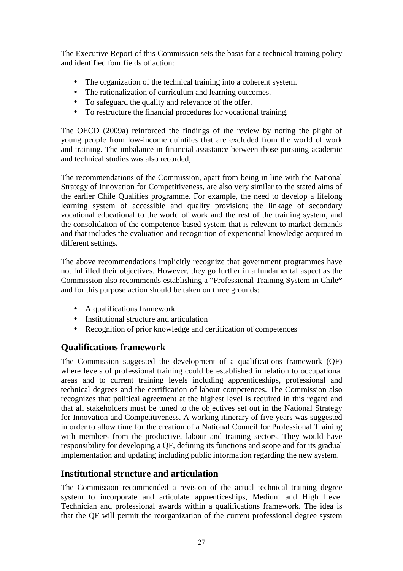The Executive Report of this Commission sets the basis for a technical training policy and identified four fields of action:

- The organization of the technical training into a coherent system.
- The rationalization of curriculum and learning outcomes.
- To safeguard the quality and relevance of the offer.
- To restructure the financial procedures for vocational training.

The OECD (2009a) reinforced the findings of the review by noting the plight of young people from low-income quintiles that are excluded from the world of work and training. The imbalance in financial assistance between those pursuing academic and technical studies was also recorded,

The recommendations of the Commission, apart from being in line with the National Strategy of Innovation for Competitiveness, are also very similar to the stated aims of the earlier Chile Qualifies programme. For example, the need to develop a lifelong learning system of accessible and quality provision; the linkage of secondary vocational educational to the world of work and the rest of the training system, and the consolidation of the competence-based system that is relevant to market demands and that includes the evaluation and recognition of experiential knowledge acquired in different settings.

The above recommendations implicitly recognize that government programmes have not fulfilled their objectives. However, they go further in a fundamental aspect as the Commission also recommends establishing a "Professional Training System in Chile**"**  and for this purpose action should be taken on three grounds:

- A qualifications framework
- Institutional structure and articulation
- Recognition of prior knowledge and certification of competences

## **Qualifications framework**

The Commission suggested the development of a qualifications framework (QF) where levels of professional training could be established in relation to occupational areas and to current training levels including apprenticeships, professional and technical degrees and the certification of labour competences. The Commission also recognizes that political agreement at the highest level is required in this regard and that all stakeholders must be tuned to the objectives set out in the National Strategy for Innovation and Competitiveness. A working itinerary of five years was suggested in order to allow time for the creation of a National Council for Professional Training with members from the productive, labour and training sectors. They would have responsibility for developing a QF, defining its functions and scope and for its gradual implementation and updating including public information regarding the new system.

## **Institutional structure and articulation**

The Commission recommended a revision of the actual technical training degree system to incorporate and articulate apprenticeships, Medium and High Level Technician and professional awards within a qualifications framework. The idea is that the QF will permit the reorganization of the current professional degree system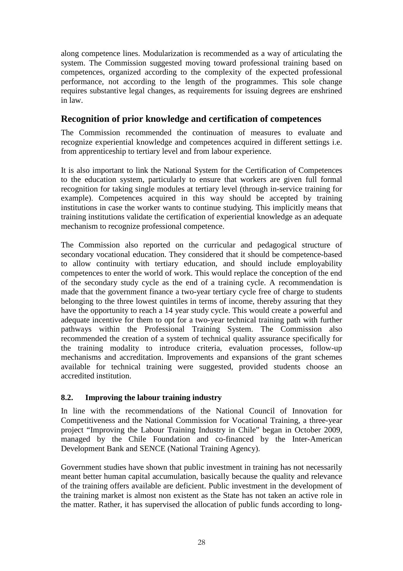along competence lines. Modularization is recommended as a way of articulating the system. The Commission suggested moving toward professional training based on competences, organized according to the complexity of the expected professional performance, not according to the length of the programmes. This sole change requires substantive legal changes, as requirements for issuing degrees are enshrined in law.

## **Recognition of prior knowledge and certification of competences**

The Commission recommended the continuation of measures to evaluate and recognize experiential knowledge and competences acquired in different settings i.e. from apprenticeship to tertiary level and from labour experience.

It is also important to link the National System for the Certification of Competences to the education system, particularly to ensure that workers are given full formal recognition for taking single modules at tertiary level (through in-service training for example). Competences acquired in this way should be accepted by training institutions in case the worker wants to continue studying. This implicitly means that training institutions validate the certification of experiential knowledge as an adequate mechanism to recognize professional competence.

The Commission also reported on the curricular and pedagogical structure of secondary vocational education. They considered that it should be competence-based to allow continuity with tertiary education, and should include employability competences to enter the world of work. This would replace the conception of the end of the secondary study cycle as the end of a training cycle. A recommendation is made that the government finance a two-year tertiary cycle free of charge to students belonging to the three lowest quintiles in terms of income, thereby assuring that they have the opportunity to reach a 14 year study cycle. This would create a powerful and adequate incentive for them to opt for a two-year technical training path with further pathways within the Professional Training System. The Commission also recommended the creation of a system of technical quality assurance specifically for the training modality to introduce criteria, evaluation processes, follow-up mechanisms and accreditation. Improvements and expansions of the grant schemes available for technical training were suggested, provided students choose an accredited institution.

### **8.2. Improving the labour training industry**

In line with the recommendations of the National Council of Innovation for Competitiveness and the National Commission for Vocational Training, a three-year project "Improving the Labour Training Industry in Chile" began in October 2009, managed by the Chile Foundation and co-financed by the Inter-American Development Bank and SENCE (National Training Agency).

Government studies have shown that public investment in training has not necessarily meant better human capital accumulation, basically because the quality and relevance of the training offers available are deficient. Public investment in the development of the training market is almost non existent as the State has not taken an active role in the matter. Rather, it has supervised the allocation of public funds according to long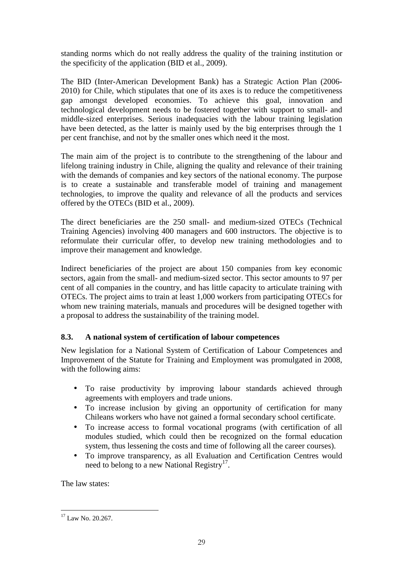standing norms which do not really address the quality of the training institution or the specificity of the application (BID et al., 2009).

The BID (Inter-American Development Bank) has a Strategic Action Plan (2006- 2010) for Chile, which stipulates that one of its axes is to reduce the competitiveness gap amongst developed economies. To achieve this goal, innovation and technological development needs to be fostered together with support to small- and middle-sized enterprises. Serious inadequacies with the labour training legislation have been detected, as the latter is mainly used by the big enterprises through the 1 per cent franchise, and not by the smaller ones which need it the most.

The main aim of the project is to contribute to the strengthening of the labour and lifelong training industry in Chile, aligning the quality and relevance of their training with the demands of companies and key sectors of the national economy. The purpose is to create a sustainable and transferable model of training and management technologies, to improve the quality and relevance of all the products and services offered by the OTECs (BID et al., 2009).

The direct beneficiaries are the 250 small- and medium-sized OTECs (Technical Training Agencies) involving 400 managers and 600 instructors. The objective is to reformulate their curricular offer, to develop new training methodologies and to improve their management and knowledge.

Indirect beneficiaries of the project are about 150 companies from key economic sectors, again from the small- and medium-sized sector. This sector amounts to 97 per cent of all companies in the country, and has little capacity to articulate training with OTECs. The project aims to train at least 1,000 workers from participating OTECs for whom new training materials, manuals and procedures will be designed together with a proposal to address the sustainability of the training model.

## **8.3. A national system of certification of labour competences**

New legislation for a National System of Certification of Labour Competences and Improvement of the Statute for Training and Employment was promulgated in 2008, with the following aims:

- To raise productivity by improving labour standards achieved through agreements with employers and trade unions.
- To increase inclusion by giving an opportunity of certification for many Chileans workers who have not gained a formal secondary school certificate.
- To increase access to formal vocational programs (with certification of all modules studied, which could then be recognized on the formal education system, thus lessening the costs and time of following all the career courses).
- To improve transparency, as all Evaluation and Certification Centres would need to belong to a new National Registry<sup>17</sup>.

The law states:

 $\overline{a}$ <sup>17</sup> Law No. 20.267.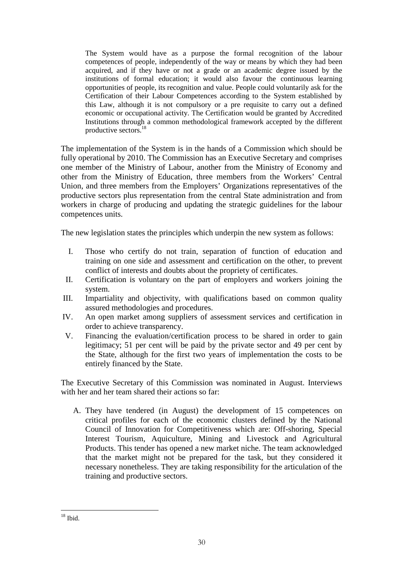The System would have as a purpose the formal recognition of the labour competences of people, independently of the way or means by which they had been acquired, and if they have or not a grade or an academic degree issued by the institutions of formal education; it would also favour the continuous learning opportunities of people, its recognition and value. People could voluntarily ask for the Certification of their Labour Competences according to the System established by this Law, although it is not compulsory or a pre requisite to carry out a defined economic or occupational activity. The Certification would be granted by Accredited Institutions through a common methodological framework accepted by the different productive sectors.<sup>18</sup>

The implementation of the System is in the hands of a Commission which should be fully operational by 2010. The Commission has an Executive Secretary and comprises one member of the Ministry of Labour, another from the Ministry of Economy and other from the Ministry of Education, three members from the Workers' Central Union, and three members from the Employers' Organizations representatives of the productive sectors plus representation from the central State administration and from workers in charge of producing and updating the strategic guidelines for the labour competences units.

The new legislation states the principles which underpin the new system as follows:

- I. Those who certify do not train, separation of function of education and training on one side and assessment and certification on the other, to prevent conflict of interests and doubts about the propriety of certificates.
- II. Certification is voluntary on the part of employers and workers joining the system.
- III. Impartiality and objectivity, with qualifications based on common quality assured methodologies and procedures.
- IV. An open market among suppliers of assessment services and certification in order to achieve transparency.
- V. Financing the evaluation/certification process to be shared in order to gain legitimacy; 51 per cent will be paid by the private sector and 49 per cent by the State, although for the first two years of implementation the costs to be entirely financed by the State.

The Executive Secretary of this Commission was nominated in August. Interviews with her and her team shared their actions so far:

A. They have tendered (in August) the development of 15 competences on critical profiles for each of the economic clusters defined by the National Council of Innovation for Competitiveness which are: Off-shoring, Special Interest Tourism, Aquiculture, Mining and Livestock and Agricultural Products. This tender has opened a new market niche. The team acknowledged that the market might not be prepared for the task, but they considered it necessary nonetheless. They are taking responsibility for the articulation of the training and productive sectors.

 $\overline{a}$  $18$  Ibid.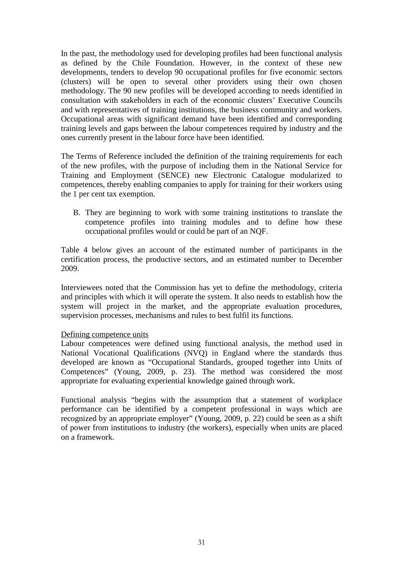In the past, the methodology used for developing profiles had been functional analysis as defined by the Chile Foundation. However, in the context of these new developments, tenders to develop 90 occupational profiles for five economic sectors (clusters) will be open to several other providers using their own chosen methodology. The 90 new profiles will be developed according to needs identified in consultation with stakeholders in each of the economic clusters' Executive Councils and with representatives of training institutions, the business community and workers. Occupational areas with significant demand have been identified and corresponding training levels and gaps between the labour competences required by industry and the ones currently present in the labour force have been identified.

The Terms of Reference included the definition of the training requirements for each of the new profiles, with the purpose of including them in the National Service for Training and Employment (SENCE) new Electronic Catalogue modularized to competences, thereby enabling companies to apply for training for their workers using the 1 per cent tax exemption.

B. They are beginning to work with some training institutions to translate the competence profiles into training modules and to define how these occupational profiles would or could be part of an NQF.

Table 4 below gives an account of the estimated number of participants in the certification process, the productive sectors, and an estimated number to December 2009.

Interviewees noted that the Commission has yet to define the methodology, criteria and principles with which it will operate the system. It also needs to establish how the system will project in the market, and the appropriate evaluation procedures, supervision processes, mechanisms and rules to best fulfil its functions.

#### Defining competence units

Labour competences were defined using functional analysis, the method used in National Vocational Qualifications (NVQ) in England where the standards thus developed are known as "Occupational Standards, grouped together into Units of Competences" (Young, 2009, p. 23). The method was considered the most appropriate for evaluating experiential knowledge gained through work.

Functional analysis "begins with the assumption that a statement of workplace performance can be identified by a competent professional in ways which are recognized by an appropriate employer" (Young, 2009, p. 22) could be seen as a shift of power from institutions to industry (the workers), especially when units are placed on a framework.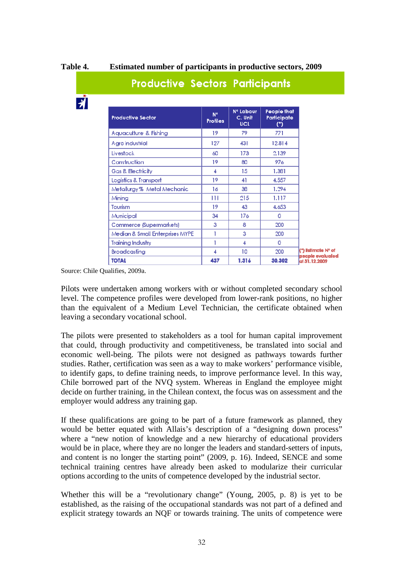**E** 

**Table 4. Estimated number of participants in productive sectors, 2009** 

| <b>Productive Sector</b>        | N <sup>o</sup><br><b>Profiles</b> | Nº Labour<br>C. Unit<br><b>UCL</b> | People that<br>Participate<br>$($ *) |
|---------------------------------|-----------------------------------|------------------------------------|--------------------------------------|
| Aquaculture & Fishing           | 19.                               | 79                                 | 771                                  |
| Agro industrial                 | 127                               | 431                                | 12.814                               |
| Livestock                       | 60                                | 173                                | 2.139                                |
| Construction                    | 19.                               | 80                                 | 976                                  |
| Gas & Electricity               | А                                 | 15                                 | 1.381                                |
| Logistics & Transport           | 19.                               | 41                                 | 4.557                                |
| Metallurgy % Metal Mechanic     | 16                                | 38                                 | 1.294                                |
| Minina                          | Ш                                 | 215                                | 1.117                                |
| Tourism                         | 19                                | 43                                 | 4.653                                |
| Municipal                       | 34                                | 176                                | 0                                    |
| Commerce (Supermarkets)         | 3                                 | 8                                  | 200                                  |
| Median & Small Enterprises MYPE |                                   | 3                                  | 200                                  |
| <b>Training Industry</b>        |                                   | 4                                  | 0                                    |
| Broadcasting                    | 4                                 | 10                                 | 200                                  |
| <b>TOTAL</b>                    | 437                               | 1.316                              | 30.302                               |

## **Productive Sectors Participants**

Source: Chile Qualifies, 2009a.

Pilots were undertaken among workers with or without completed secondary school level. The competence profiles were developed from lower-rank positions, no higher than the equivalent of a Medium Level Technician, the certificate obtained when leaving a secondary vocational school.

The pilots were presented to stakeholders as a tool for human capital improvement that could, through productivity and competitiveness, be translated into social and economic well-being. The pilots were not designed as pathways towards further studies. Rather, certification was seen as a way to make workers' performance visible, to identify gaps, to define training needs, to improve performance level. In this way, Chile borrowed part of the NVQ system. Whereas in England the employee might decide on further training, in the Chilean context, the focus was on assessment and the employer would address any training gap.

If these qualifications are going to be part of a future framework as planned, they would be better equated with Allais's description of a "designing down process" where a "new notion of knowledge and a new hierarchy of educational providers would be in place, where they are no longer the leaders and standard-setters of inputs, and content is no longer the starting point" (2009, p. 16). Indeed, SENCE and some technical training centres have already been asked to modularize their curricular options according to the units of competence developed by the industrial sector.

Whether this will be a "revolutionary change" (Young, 2005, p. 8) is yet to be established, as the raising of the occupational standards was not part of a defined and explicit strategy towards an NQF or towards training. The units of competence were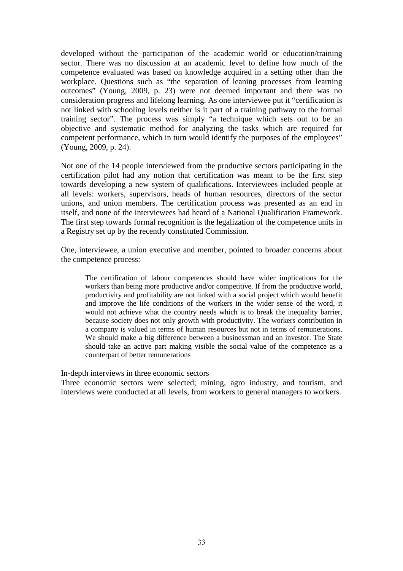developed without the participation of the academic world or education/training sector. There was no discussion at an academic level to define how much of the competence evaluated was based on knowledge acquired in a setting other than the workplace. Questions such as "the separation of leaning processes from learning outcomes" (Young, 2009, p. 23) were not deemed important and there was no consideration progress and lifelong learning. As one interviewee put it "certification is not linked with schooling levels neither is it part of a training pathway to the formal training sector". The process was simply "a technique which sets out to be an objective and systematic method for analyzing the tasks which are required for competent performance, which in turn would identify the purposes of the employees" (Young, 2009, p. 24).

Not one of the 14 people interviewed from the productive sectors participating in the certification pilot had any notion that certification was meant to be the first step towards developing a new system of qualifications. Interviewees included people at all levels: workers, supervisors, heads of human resources, directors of the sector unions, and union members. The certification process was presented as an end in itself, and none of the interviewees had heard of a National Qualification Framework. The first step towards formal recognition is the legalization of the competence units in a Registry set up by the recently constituted Commission.

One, interviewee, a union executive and member, pointed to broader concerns about the competence process:

The certification of labour competences should have wider implications for the workers than being more productive and/or competitive. If from the productive world, productivity and profitability are not linked with a social project which would benefit and improve the life conditions of the workers in the wider sense of the word, it would not achieve what the country needs which is to break the inequality barrier, because society does not only growth with productivity. The workers contribution in a company is valued in terms of human resources but not in terms of remunerations. We should make a big difference between a businessman and an investor. The State should take an active part making visible the social value of the competence as a counterpart of better remunerations

In-depth interviews in three economic sectors

Three economic sectors were selected; mining, agro industry, and tourism, and interviews were conducted at all levels, from workers to general managers to workers.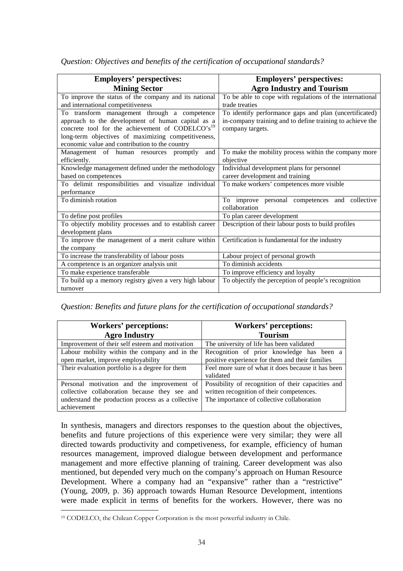| <b>Employers' perspectives:</b>                              | <b>Employers' perspectives:</b>                           |  |  |
|--------------------------------------------------------------|-----------------------------------------------------------|--|--|
| <b>Mining Sector</b>                                         | <b>Agro Industry and Tourism</b>                          |  |  |
| To improve the status of the company and its national        | To be able to cope with regulations of the international  |  |  |
| and international competitiveness                            | trade treaties                                            |  |  |
| To transform management through a competence                 | To identify performance gaps and plan (uncertificated)    |  |  |
| approach to the development of human capital as a            | in-company training and to define training to achieve the |  |  |
| concrete tool for the achievement of CODELCO's <sup>19</sup> | company targets.                                          |  |  |
| long-term objectives of maximizing competitiveness,          |                                                           |  |  |
| economic value and contribution to the country               |                                                           |  |  |
| Management of human resources promptly<br>and                | To make the mobility process within the company more      |  |  |
| efficiently.                                                 | objective                                                 |  |  |
| Knowledge management defined under the methodology           | Individual development plans for personnel                |  |  |
| based on competences                                         | career development and training                           |  |  |
| To delimit responsibilities and visualize individual         | To make workers' competences more visible                 |  |  |
| performance                                                  |                                                           |  |  |
| To diminish rotation                                         | To improve personal competences and collective            |  |  |
|                                                              | collaboration                                             |  |  |
| To define post profiles                                      | To plan career development                                |  |  |
| To objectify mobility processes and to establish career      | Description of their labour posts to build profiles       |  |  |
| development plans                                            |                                                           |  |  |
| To improve the management of a merit culture within          | Certification is fundamental for the industry             |  |  |
| the company                                                  |                                                           |  |  |
| To increase the transferability of labour posts              | Labour project of personal growth                         |  |  |
| A competence is an organizer analysis unit                   | To diminish accidents                                     |  |  |
| To make experience transferable                              | To improve efficiency and loyalty                         |  |  |
| To build up a memory registry given a very high labour       | To objectify the perception of people's recognition       |  |  |
| turnover                                                     |                                                           |  |  |

*Question: Objectives and benefits of the certification of occupational standards?* 

*Question: Benefits and future plans for the certification of occupational standards?* 

| <b>Workers' perceptions:</b>                      | <b>Workers' perceptions:</b>                       |  |  |
|---------------------------------------------------|----------------------------------------------------|--|--|
| <b>Agro Industry</b>                              | <b>Tourism</b>                                     |  |  |
| Improvement of their self esteem and motivation   | The university of life has been validated          |  |  |
| Labour mobility within the company and in the     | Recognition of prior knowledge has been a          |  |  |
| open market, improve employability                | positive experience for them and their families    |  |  |
| Their evaluation portfolio is a degree for them   | Feel more sure of what it does because it has been |  |  |
|                                                   | validated                                          |  |  |
| Personal motivation and the improvement of        | Possibility of recognition of their capacities and |  |  |
| collective collaboration because they see and     | written recognition of their competences.          |  |  |
| understand the production process as a collective | The importance of collective collaboration         |  |  |
| achievement                                       |                                                    |  |  |

In synthesis, managers and directors responses to the question about the objectives, benefits and future projections of this experience were very similar; they were all directed towards productivity and competiveness, for example, efficiency of human resources management, improved dialogue between development and performance management and more effective planning of training. Career development was also mentioned, but depended very much on the company's approach on Human Resource Development. Where a company had an "expansive" rather than a "restrictive" (Young, 2009, p. 36) approach towards Human Resource Development, intentions were made explicit in terms of benefits for the workers. However, there was no

 $\overline{a}$ 19 CODELCO, the Chilean Copper Corporation is the most powerful industry in Chile.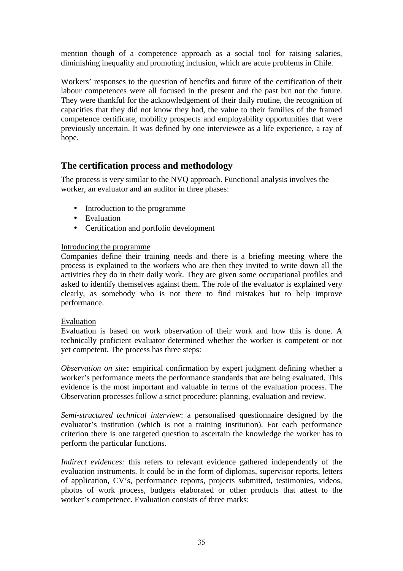mention though of a competence approach as a social tool for raising salaries, diminishing inequality and promoting inclusion, which are acute problems in Chile.

Workers' responses to the question of benefits and future of the certification of their labour competences were all focused in the present and the past but not the future. They were thankful for the acknowledgement of their daily routine, the recognition of capacities that they did not know they had, the value to their families of the framed competence certificate, mobility prospects and employability opportunities that were previously uncertain. It was defined by one interviewee as a life experience, a ray of hope.

## **The certification process and methodology**

The process is very similar to the NVQ approach. Functional analysis involves the worker, an evaluator and an auditor in three phases:

- Introduction to the programme
- Evaluation
- Certification and portfolio development

#### Introducing the programme

Companies define their training needs and there is a briefing meeting where the process is explained to the workers who are then they invited to write down all the activities they do in their daily work. They are given some occupational profiles and asked to identify themselves against them. The role of the evaluator is explained very clearly, as somebody who is not there to find mistakes but to help improve performance.

### Evaluation

Evaluation is based on work observation of their work and how this is done. A technically proficient evaluator determined whether the worker is competent or not yet competent. The process has three steps:

*Observation on site***:** empirical confirmation by expert judgment defining whether a worker's performance meets the performance standards that are being evaluated. This evidence is the most important and valuable in terms of the evaluation process. The Observation processes follow a strict procedure: planning, evaluation and review.

*Semi-structured technical interview*: a personalised questionnaire designed by the evaluator's institution (which is not a training institution). For each performance criterion there is one targeted question to ascertain the knowledge the worker has to perform the particular functions.

*Indirect evidences:* this refers to relevant evidence gathered independently of the evaluation instruments. It could be in the form of diplomas, supervisor reports, letters of application, CV's, performance reports, projects submitted, testimonies, videos, photos of work process, budgets elaborated or other products that attest to the worker's competence. Evaluation consists of three marks: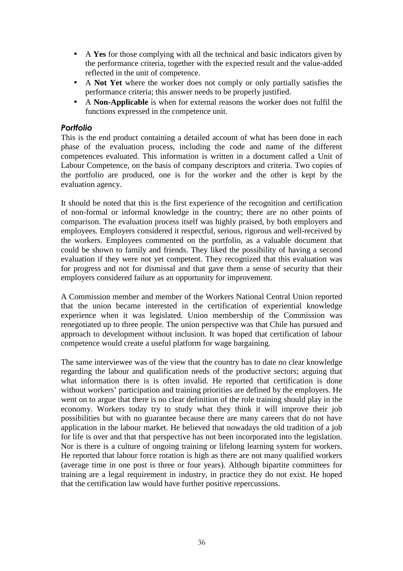- A **Yes** for those complying with all the technical and basic indicators given by the performance criteria, together with the expected result and the value-added reflected in the unit of competence.
- A **Not Yet** where the worker does not comply or only partially satisfies the performance criteria; this answer needs to be properly justified.
- A **Non-Applicable** is when for external reasons the worker does not fulfil the functions expressed in the competence unit.

### *Portfolio*

This is the end product containing a detailed account of what has been done in each phase of the evaluation process, including the code and name of the different competences evaluated. This information is written in a document called a Unit of Labour Competence, on the basis of company descriptors and criteria. Two copies of the portfolio are produced, one is for the worker and the other is kept by the evaluation agency.

It should be noted that this is the first experience of the recognition and certification of non-formal or informal knowledge in the country; there are no other points of comparison. The evaluation process itself was highly praised, by both employers and employees. Employers considered it respectful, serious, rigorous and well-received by the workers. Employees commented on the portfolio, as a valuable document that could be shown to family and friends. They liked the possibility of having a second evaluation if they were not yet competent. They recognized that this evaluation was for progress and not for dismissal and that gave them a sense of security that their employers considered failure as an opportunity for improvement.

A Commission member and member of the Workers National Central Union reported that the union became interested in the certification of experiential knowledge experience when it was legislated. Union membership of the Commission was renegotiated up to three people. The union perspective was that Chile has pursued and approach to development without inclusion. It was hoped that certification of labour competence would create a useful platform for wage bargaining.

The same interviewee was of the view that the country has to date no clear knowledge regarding the labour and qualification needs of the productive sectors; arguing that what information there is is often invalid. He reported that certification is done without workers' participation and training priorities are defined by the employers. He went on to argue that there is no clear definition of the role training should play in the economy. Workers today try to study what they think it will improve their job possibilities but with no guarantee because there are many careers that do not have application in the labour market. He believed that nowadays the old tradition of a job for life is over and that that perspective has not been incorporated into the legislation. Nor is there is a culture of ongoing training or lifelong learning system for workers. He reported that labour force rotation is high as there are not many qualified workers (average time in one post is three or four years). Although bipartite committees for training are a legal requirement in industry, in practice they do not exist. He hoped that the certification law would have further positive repercussions.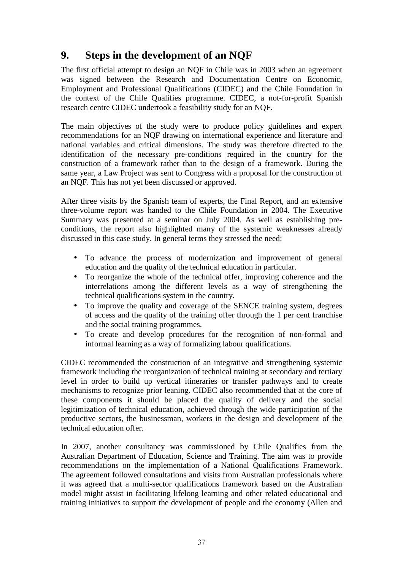## **9. Steps in the development of an NQF**

The first official attempt to design an NQF in Chile was in 2003 when an agreement was signed between the Research and Documentation Centre on Economic, Employment and Professional Qualifications (CIDEC) and the Chile Foundation in the context of the Chile Qualifies programme. CIDEC, a not-for-profit Spanish research centre CIDEC undertook a feasibility study for an NQF.

The main objectives of the study were to produce policy guidelines and expert recommendations for an NQF drawing on international experience and literature and national variables and critical dimensions. The study was therefore directed to the identification of the necessary pre-conditions required in the country for the construction of a framework rather than to the design of a framework. During the same year, a Law Project was sent to Congress with a proposal for the construction of an NQF. This has not yet been discussed or approved.

After three visits by the Spanish team of experts, the Final Report, and an extensive three-volume report was handed to the Chile Foundation in 2004. The Executive Summary was presented at a seminar on July 2004. As well as establishing preconditions, the report also highlighted many of the systemic weaknesses already discussed in this case study. In general terms they stressed the need:

- To advance the process of modernization and improvement of general education and the quality of the technical education in particular.
- To reorganize the whole of the technical offer, improving coherence and the interrelations among the different levels as a way of strengthening the technical qualifications system in the country.
- To improve the quality and coverage of the SENCE training system, degrees of access and the quality of the training offer through the 1 per cent franchise and the social training programmes.
- To create and develop procedures for the recognition of non-formal and informal learning as a way of formalizing labour qualifications.

CIDEC recommended the construction of an integrative and strengthening systemic framework including the reorganization of technical training at secondary and tertiary level in order to build up vertical itineraries or transfer pathways and to create mechanisms to recognize prior leaning. CIDEC also recommended that at the core of these components it should be placed the quality of delivery and the social legitimization of technical education, achieved through the wide participation of the productive sectors, the businessman, workers in the design and development of the technical education offer.

In 2007, another consultancy was commissioned by Chile Qualifies from the Australian Department of Education, Science and Training. The aim was to provide recommendations on the implementation of a National Qualifications Framework. The agreement followed consultations and visits from Australian professionals where it was agreed that a multi-sector qualifications framework based on the Australian model might assist in facilitating lifelong learning and other related educational and training initiatives to support the development of people and the economy (Allen and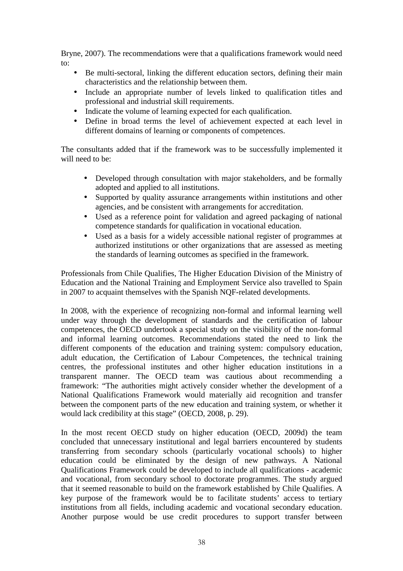Bryne, 2007). The recommendations were that a qualifications framework would need to:

- Be multi-sectoral, linking the different education sectors, defining their main characteristics and the relationship between them.
- Include an appropriate number of levels linked to qualification titles and professional and industrial skill requirements.
- Indicate the volume of learning expected for each qualification.
- Define in broad terms the level of achievement expected at each level in different domains of learning or components of competences.

The consultants added that if the framework was to be successfully implemented it will need to be:

- Developed through consultation with major stakeholders, and be formally adopted and applied to all institutions.
- Supported by quality assurance arrangements within institutions and other agencies, and be consistent with arrangements for accreditation.
- Used as a reference point for validation and agreed packaging of national competence standards for qualification in vocational education.
- Used as a basis for a widely accessible national register of programmes at authorized institutions or other organizations that are assessed as meeting the standards of learning outcomes as specified in the framework.

Professionals from Chile Qualifies, The Higher Education Division of the Ministry of Education and the National Training and Employment Service also travelled to Spain in 2007 to acquaint themselves with the Spanish NQF-related developments.

In 2008, with the experience of recognizing non-formal and informal learning well under way through the development of standards and the certification of labour competences, the OECD undertook a special study on the visibility of the non-formal and informal learning outcomes. Recommendations stated the need to link the different components of the education and training system: compulsory education, adult education, the Certification of Labour Competences, the technical training centres, the professional institutes and other higher education institutions in a transparent manner. The OECD team was cautious about recommending a framework: "The authorities might actively consider whether the development of a National Qualifications Framework would materially aid recognition and transfer between the component parts of the new education and training system, or whether it would lack credibility at this stage" (OECD, 2008, p. 29).

In the most recent OECD study on higher education (OECD, 2009d) the team concluded that unnecessary institutional and legal barriers encountered by students transferring from secondary schools (particularly vocational schools) to higher education could be eliminated by the design of new pathways. A National Qualifications Framework could be developed to include all qualifications - academic and vocational, from secondary school to doctorate programmes. The study argued that it seemed reasonable to build on the framework established by Chile Qualifies. A key purpose of the framework would be to facilitate students' access to tertiary institutions from all fields, including academic and vocational secondary education. Another purpose would be use credit procedures to support transfer between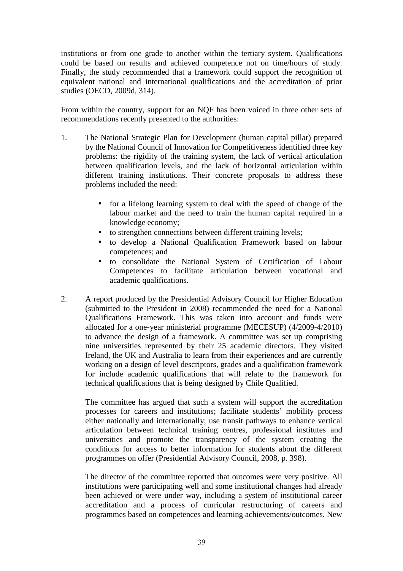institutions or from one grade to another within the tertiary system. Qualifications could be based on results and achieved competence not on time/hours of study. Finally, the study recommended that a framework could support the recognition of equivalent national and international qualifications and the accreditation of prior studies (OECD, 2009d, 314).

From within the country, support for an NQF has been voiced in three other sets of recommendations recently presented to the authorities:

- 1. The National Strategic Plan for Development (human capital pillar) prepared by the National Council of Innovation for Competitiveness identified three key problems: the rigidity of the training system, the lack of vertical articulation between qualification levels, and the lack of horizontal articulation within different training institutions. Their concrete proposals to address these problems included the need:
	- for a lifelong learning system to deal with the speed of change of the labour market and the need to train the human capital required in a knowledge economy;
	- to strengthen connections between different training levels;
	- to develop a National Qualification Framework based on labour competences; and
	- to consolidate the National System of Certification of Labour Competences to facilitate articulation between vocational and academic qualifications.
- 2. A report produced by the Presidential Advisory Council for Higher Education (submitted to the President in 2008) recommended the need for a National Qualifications Framework. This was taken into account and funds were allocated for a one-year ministerial programme (MECESUP) (4/2009-4/2010) to advance the design of a framework. A committee was set up comprising nine universities represented by their 25 academic directors. They visited Ireland, the UK and Australia to learn from their experiences and are currently working on a design of level descriptors, grades and a qualification framework for include academic qualifications that will relate to the framework for technical qualifications that is being designed by Chile Qualified.

The committee has argued that such a system will support the accreditation processes for careers and institutions; facilitate students' mobility process either nationally and internationally; use transit pathways to enhance vertical articulation between technical training centres, professional institutes and universities and promote the transparency of the system creating the conditions for access to better information for students about the different programmes on offer (Presidential Advisory Council, 2008, p. 398).

The director of the committee reported that outcomes were very positive. All institutions were participating well and some institutional changes had already been achieved or were under way, including a system of institutional career accreditation and a process of curricular restructuring of careers and programmes based on competences and learning achievements/outcomes. New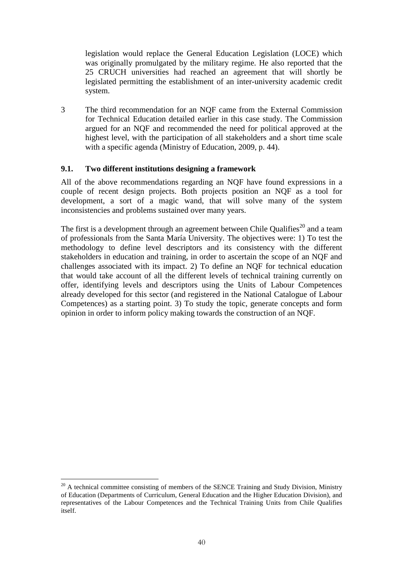legislation would replace the General Education Legislation (LOCE) which was originally promulgated by the military regime. He also reported that the 25 CRUCH universities had reached an agreement that will shortly be legislated permitting the establishment of an inter-university academic credit system.

3 The third recommendation for an NQF came from the External Commission for Technical Education detailed earlier in this case study. The Commission argued for an NQF and recommended the need for political approved at the highest level, with the participation of all stakeholders and a short time scale with a specific agenda (Ministry of Education, 2009, p. 44).

#### **9.1. Two different institutions designing a framework**

All of the above recommendations regarding an NQF have found expressions in a couple of recent design projects. Both projects position an NQF as a tool for development, a sort of a magic wand, that will solve many of the system inconsistencies and problems sustained over many years.

The first is a development through an agreement between Chile Qualifies<sup>20</sup> and a team of professionals from the Santa María University. The objectives were: 1) To test the methodology to define level descriptors and its consistency with the different stakeholders in education and training, in order to ascertain the scope of an NQF and challenges associated with its impact. 2) To define an NQF for technical education that would take account of all the different levels of technical training currently on offer, identifying levels and descriptors using the Units of Labour Competences already developed for this sector (and registered in the National Catalogue of Labour Competences) as a starting point. 3) To study the topic, generate concepts and form opinion in order to inform policy making towards the construction of an NQF.

 $\overline{a}$  $20$  A technical committee consisting of members of the SENCE Training and Study Division, Ministry of Education (Departments of Curriculum, General Education and the Higher Education Division), and representatives of the Labour Competences and the Technical Training Units from Chile Qualifies itself.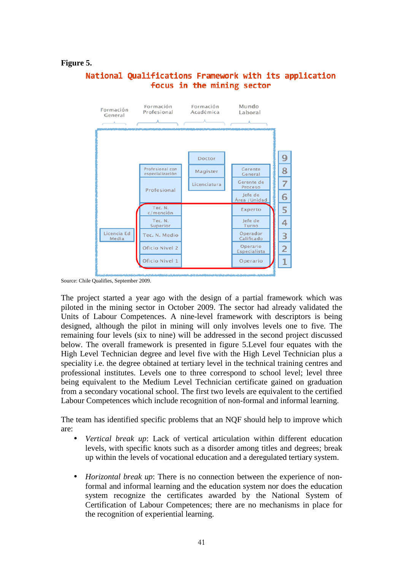#### **Figure 5.**

## National Qualifications Framework with its application focus in the mining sector



Source: Chile Qualifies, September 2009.

The project started a year ago with the design of a partial framework which was piloted in the mining sector in October 2009. The sector had already validated the Units of Labour Competences. A nine-level framework with descriptors is being designed, although the pilot in mining will only involves levels one to five. The remaining four levels (six to nine) will be addressed in the second project discussed below. The overall framework is presented in figure 5.Level four equates with the High Level Technician degree and level five with the High Level Technician plus a speciality i.e. the degree obtained at tertiary level in the technical training centres and professional institutes. Levels one to three correspond to school level; level three being equivalent to the Medium Level Technician certificate gained on graduation from a secondary vocational school. The first two levels are equivalent to the certified Labour Competences which include recognition of non-formal and informal learning.

The team has identified specific problems that an NQF should help to improve which are:

- *Vertical break up*: Lack of vertical articulation within different education levels, with specific knots such as a disorder among titles and degrees; break up within the levels of vocational education and a deregulated tertiary system.
- *Horizontal break up*: There is no connection between the experience of nonformal and informal learning and the education system nor does the education system recognize the certificates awarded by the National System of Certification of Labour Competences; there are no mechanisms in place for the recognition of experiential learning.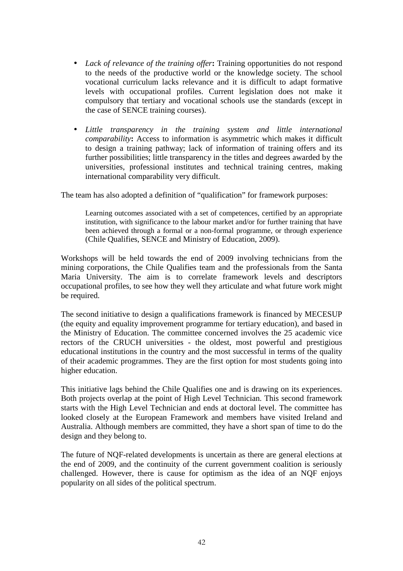- *Lack of relevance of the training offer***:** Training opportunities do not respond to the needs of the productive world or the knowledge society. The school vocational curriculum lacks relevance and it is difficult to adapt formative levels with occupational profiles. Current legislation does not make it compulsory that tertiary and vocational schools use the standards (except in the case of SENCE training courses).
- *Little transparency in the training system and little international comparability***:** Access to information is asymmetric which makes it difficult to design a training pathway; lack of information of training offers and its further possibilities; little transparency in the titles and degrees awarded by the universities, professional institutes and technical training centres, making international comparability very difficult.

The team has also adopted a definition of "qualification" for framework purposes:

Learning outcomes associated with a set of competences, certified by an appropriate institution, with significance to the labour market and/or for further training that have been achieved through a formal or a non-formal programme, or through experience (Chile Qualifies, SENCE and Ministry of Education, 2009).

Workshops will be held towards the end of 2009 involving technicians from the mining corporations, the Chile Qualifies team and the professionals from the Santa Maria University. The aim is to correlate framework levels and descriptors occupational profiles, to see how they well they articulate and what future work might be required.

The second initiative to design a qualifications framework is financed by MECESUP (the equity and equality improvement programme for tertiary education), and based in the Ministry of Education. The committee concerned involves the 25 academic vice rectors of the CRUCH universities - the oldest, most powerful and prestigious educational institutions in the country and the most successful in terms of the quality of their academic programmes. They are the first option for most students going into higher education.

This initiative lags behind the Chile Qualifies one and is drawing on its experiences. Both projects overlap at the point of High Level Technician. This second framework starts with the High Level Technician and ends at doctoral level. The committee has looked closely at the European Framework and members have visited Ireland and Australia. Although members are committed, they have a short span of time to do the design and they belong to.

The future of NQF-related developments is uncertain as there are general elections at the end of 2009, and the continuity of the current government coalition is seriously challenged. However, there is cause for optimism as the idea of an NQF enjoys popularity on all sides of the political spectrum.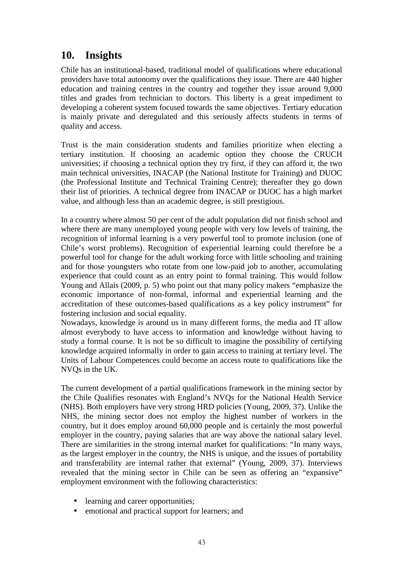## **10. Insights**

Chile has an institutional-based, traditional model of qualifications where educational providers have total autonomy over the qualifications they issue. There are 440 higher education and training centres in the country and together they issue around 9,000 titles and grades from technician to doctors. This liberty is a great impediment to developing a coherent system focused towards the same objectives. Tertiary education is mainly private and deregulated and this seriously affects students in terms of quality and access.

Trust is the main consideration students and families prioritize when electing a tertiary institution. If choosing an academic option they choose the CRUCH universities; if choosing a technical option they try first, if they can afford it, the two main technical universities, INACAP (the National Institute for Training) and DUOC (the Professional Institute and Technical Training Centre); thereafter they go down their list of priorities. A technical degree from INACAP or DUOC has a high market value, and although less than an academic degree, is still prestigious.

In a country where almost 50 per cent of the adult population did not finish school and where there are many unemployed young people with very low levels of training, the recognition of informal learning is a very powerful tool to promote inclusion (one of Chile's worst problems). Recognition of experiential learning could therefore be a powerful tool for change for the adult working force with little schooling and training and for those youngsters who rotate from one low-paid job to another, accumulating experience that could count as an entry point to formal training. This would follow Young and Allais (2009, p. 5) who point out that many policy makers "emphasize the economic importance of non-formal, informal and experiential learning and the accreditation of these outcomes-based qualifications as a key policy instrument" for fostering inclusion and social equality.

Nowadays, knowledge is around us in many different forms, the media and IT allow almost everybody to have access to information and knowledge without having to study a formal course. It is not be so difficult to imagine the possibility of certifying knowledge acquired informally in order to gain access to training at tertiary level. The Units of Labour Competences could become an access route to qualifications like the NVQs in the UK.

The current development of a partial qualifications framework in the mining sector by the Chile Qualifies resonates with England's NVQs for the National Health Service (NHS). Both employers have very strong HRD policies (Young, 2009, 37). Unlike the NHS, the mining sector does not employ the highest number of workers in the country, but it does employ around 60,000 people and is certainly the most powerful employer in the country, paying salaries that are way above the national salary level. There are similarities in the strong internal market for qualifications: "In many ways, as the largest employer in the country, the NHS is unique, and the issues of portability and transferability are internal rather that external" (Young, 2009, 37). Interviews revealed that the mining sector in Chile can be seen as offering an "expansive" employment environment with the following characteristics:

- learning and career opportunities;
- emotional and practical support for learners; and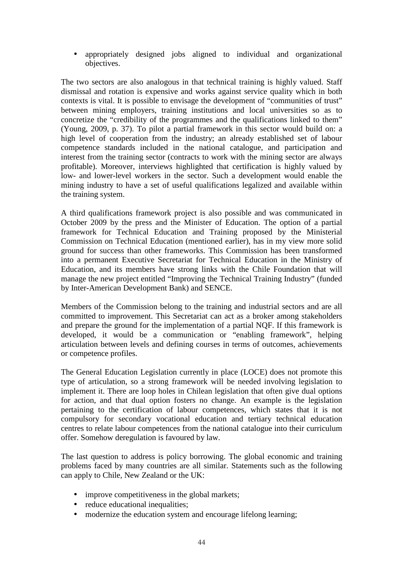• appropriately designed jobs aligned to individual and organizational objectives.

The two sectors are also analogous in that technical training is highly valued. Staff dismissal and rotation is expensive and works against service quality which in both contexts is vital. It is possible to envisage the development of "communities of trust" between mining employers, training institutions and local universities so as to concretize the "credibility of the programmes and the qualifications linked to them" (Young, 2009, p. 37). To pilot a partial framework in this sector would build on: a high level of cooperation from the industry; an already established set of labour competence standards included in the national catalogue, and participation and interest from the training sector (contracts to work with the mining sector are always profitable). Moreover, interviews highlighted that certification is highly valued by low- and lower-level workers in the sector. Such a development would enable the mining industry to have a set of useful qualifications legalized and available within the training system.

A third qualifications framework project is also possible and was communicated in October 2009 by the press and the Minister of Education. The option of a partial framework for Technical Education and Training proposed by the Ministerial Commission on Technical Education (mentioned earlier), has in my view more solid ground for success than other frameworks. This Commission has been transformed into a permanent Executive Secretariat for Technical Education in the Ministry of Education, and its members have strong links with the Chile Foundation that will manage the new project entitled "Improving the Technical Training Industry" (funded by Inter-American Development Bank) and SENCE.

Members of the Commission belong to the training and industrial sectors and are all committed to improvement. This Secretariat can act as a broker among stakeholders and prepare the ground for the implementation of a partial NQF. If this framework is developed, it would be a communication or "enabling framework", helping articulation between levels and defining courses in terms of outcomes, achievements or competence profiles.

The General Education Legislation currently in place (LOCE) does not promote this type of articulation, so a strong framework will be needed involving legislation to implement it. There are loop holes in Chilean legislation that often give dual options for action, and that dual option fosters no change. An example is the legislation pertaining to the certification of labour competences, which states that it is not compulsory for secondary vocational education and tertiary technical education centres to relate labour competences from the national catalogue into their curriculum offer. Somehow deregulation is favoured by law.

The last question to address is policy borrowing. The global economic and training problems faced by many countries are all similar. Statements such as the following can apply to Chile, New Zealand or the UK:

- improve competitiveness in the global markets;
- reduce educational inequalities:
- modernize the education system and encourage lifelong learning;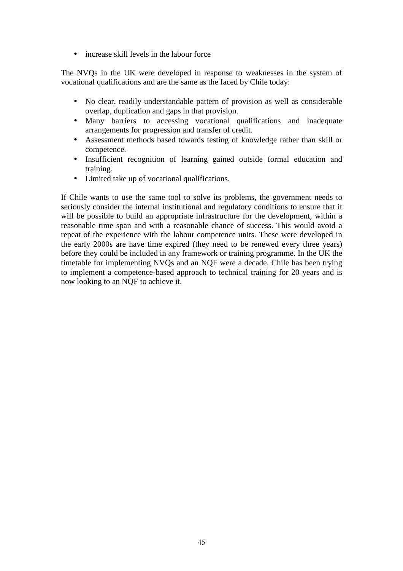• increase skill levels in the labour force

The NVQs in the UK were developed in response to weaknesses in the system of vocational qualifications and are the same as the faced by Chile today:

- No clear, readily understandable pattern of provision as well as considerable overlap, duplication and gaps in that provision.
- Many barriers to accessing vocational qualifications and inadequate arrangements for progression and transfer of credit.
- Assessment methods based towards testing of knowledge rather than skill or competence.
- Insufficient recognition of learning gained outside formal education and training.
- Limited take up of vocational qualifications.

If Chile wants to use the same tool to solve its problems, the government needs to seriously consider the internal institutional and regulatory conditions to ensure that it will be possible to build an appropriate infrastructure for the development, within a reasonable time span and with a reasonable chance of success. This would avoid a repeat of the experience with the labour competence units. These were developed in the early 2000s are have time expired (they need to be renewed every three years) before they could be included in any framework or training programme. In the UK the timetable for implementing NVQs and an NQF were a decade. Chile has been trying to implement a competence-based approach to technical training for 20 years and is now looking to an NQF to achieve it.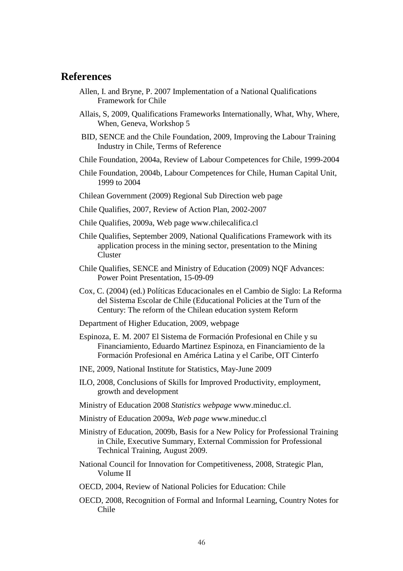## **References**

- Allen, I. and Bryne, P. 2007 Implementation of a National Qualifications Framework for Chile
- Allais, S, 2009, Qualifications Frameworks Internationally, What, Why, Where, When, Geneva, Workshop 5
- BID, SENCE and the Chile Foundation, 2009, Improving the Labour Training Industry in Chile, Terms of Reference
- Chile Foundation, 2004a, Review of Labour Competences for Chile, 1999-2004
- Chile Foundation, 2004b, Labour Competences for Chile, Human Capital Unit, 1999 to 2004
- Chilean Government (2009) Regional Sub Direction web page
- Chile Qualifies, 2007, Review of Action Plan, 2002-2007
- Chile Qualifies, 2009a, Web page www.chilecalifica.cl
- Chile Qualifies, September 2009, National Qualifications Framework with its application process in the mining sector, presentation to the Mining Cluster
- Chile Qualifies, SENCE and Ministry of Education (2009) NQF Advances: Power Point Presentation, 15-09-09
- Cox, C. (2004) (ed.) Políticas Educacionales en el Cambio de Siglo: La Reforma del Sistema Escolar de Chile (Educational Policies at the Turn of the Century: The reform of the Chilean education system Reform
- Department of Higher Education, 2009, webpage
- Espinoza, E. M. 2007 El Sistema de Formación Profesional en Chile y su Financiamiento, Eduardo Martinez Espinoza, en Financiamiento de la Formación Profesional en América Latina y el Caribe, OIT Cinterfo
- INE, 2009, National Institute for Statistics, May-June 2009
- ILO, 2008, Conclusions of Skills for Improved Productivity, employment, growth and development
- Ministry of Education 2008 *Statistics webpage* www.mineduc.cl.
- Ministry of Education 2009a, *Web page* www.mineduc.cl
- Ministry of Education, 2009b, Basis for a New Policy for Professional Training in Chile, Executive Summary, External Commission for Professional Technical Training, August 2009.
- National Council for Innovation for Competitiveness, 2008, Strategic Plan, Volume II
- OECD, 2004, Review of National Policies for Education: Chile
- OECD, 2008, Recognition of Formal and Informal Learning, Country Notes for Chile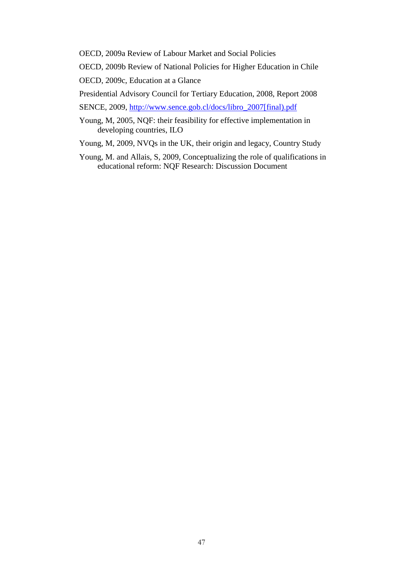OECD, 2009a Review of Labour Market and Social Policies

OECD, 2009b Review of National Policies for Higher Education in Chile

OECD, 2009c, Education at a Glance

Presidential Advisory Council for Tertiary Education, 2008, Report 2008

SENCE, 2009, http://www.sence.gob.cl/docs/libro\_2007[final).pdf

- Young, M, 2005, NQF: their feasibility for effective implementation in developing countries, ILO
- Young, M, 2009, NVQs in the UK, their origin and legacy, Country Study
- Young, M. and Allais, S, 2009, Conceptualizing the role of qualifications in educational reform: NQF Research: Discussion Document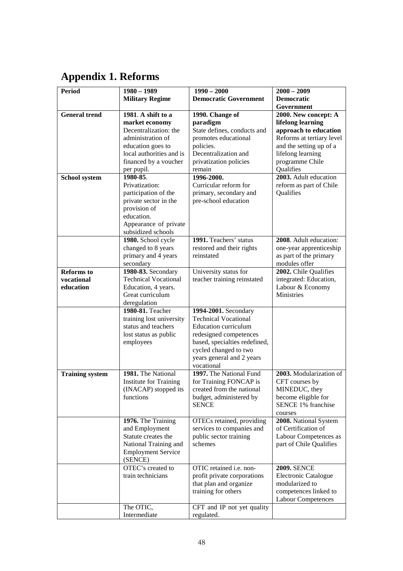# **Appendix 1. Reforms**

| <b>Period</b>          | $1980 - 1989$                        | $1990 - 2000$                     | $2000 - 2009$                                |
|------------------------|--------------------------------------|-----------------------------------|----------------------------------------------|
|                        | <b>Military Regime</b>               | <b>Democratic Government</b>      | <b>Democratic</b>                            |
|                        |                                      |                                   | Government                                   |
| <b>General trend</b>   | 1981. A shift to a                   | 1990. Change of                   | 2000. New concept: A                         |
|                        | market economy                       | paradigm                          | lifelong learning                            |
|                        | Decentralization: the                | State defines, conducts and       | approach to education                        |
|                        | administration of                    | promotes educational              | Reforms at tertiary level                    |
|                        | education goes to                    | policies.                         | and the setting up of a                      |
|                        | local authorities and is             | Decentralization and              | lifelong learning                            |
|                        | financed by a voucher                | privatization policies            | programme Chile                              |
|                        | per pupil.                           | remain                            | Qualifies                                    |
| School system          | 1980-85.                             | 1996-2000.                        | 2003. Adult education                        |
|                        | Privatization:                       | Curricular reform for             | reform as part of Chile                      |
|                        | participation of the                 | primary, secondary and            | Qualifies                                    |
|                        | private sector in the                | pre-school education              |                                              |
|                        | provision of                         |                                   |                                              |
|                        | education.                           |                                   |                                              |
|                        | Appearance of private                |                                   |                                              |
|                        | subsidized schools                   |                                   |                                              |
|                        | 1980. School cycle                   | 1991. Teachers' status            | 2008. Adult education:                       |
|                        | changed to 8 years                   | restored and their rights         | one-year apprenticeship                      |
|                        | primary and 4 years                  | reinstated                        | as part of the primary                       |
|                        | secondary                            |                                   | modules offer                                |
| <b>Reforms</b> to      | 1980-83. Secondary                   | University status for             | 2002. Chile Qualifies                        |
| vocational             | <b>Technical Vocational</b>          | teacher training reinstated       | integrated: Education,                       |
| education              | Education, 4 years.                  |                                   | Labour & Economy                             |
|                        | Great curriculum                     |                                   | Ministries                                   |
|                        | deregulation                         |                                   |                                              |
|                        | 1980-81. Teacher                     | 1994-2001. Secondary              |                                              |
|                        | training lost university             | <b>Technical Vocational</b>       |                                              |
|                        | status and teachers                  | <b>Education curriculum</b>       |                                              |
|                        | lost status as public                | redesigned competences            |                                              |
|                        | employees                            | based, specialties redefined,     |                                              |
|                        |                                      | cycled changed to two             |                                              |
|                        |                                      | years general and 2 years         |                                              |
|                        |                                      | vocational                        |                                              |
| <b>Training system</b> | 1981. The National                   | 1997. The National Fund           | 2003. Modularization of                      |
|                        | <b>Institute for Training</b>        | for Training FONCAP is            | CFT courses by                               |
|                        | (INACAP) stopped its                 | created from the national         | MINEDUC, they                                |
|                        | functions                            | budget, administered by           | become eligible for                          |
|                        |                                      | <b>SENCE</b>                      | <b>SENCE 1% franchise</b>                    |
|                        |                                      |                                   | courses                                      |
|                        | 1976. The Training                   | OTECs retained, providing         | 2008. National System                        |
|                        | and Employment                       | services to companies and         | of Certification of<br>Labour Competences as |
|                        | Statute creates the                  | public sector training<br>schemes |                                              |
|                        | National Training and                |                                   | part of Chile Qualifies                      |
|                        | <b>Employment Service</b><br>(SENCE) |                                   |                                              |
|                        | OTEC's created to                    | OTIC retained i.e. non-           | <b>2009. SENCE</b>                           |
|                        | train technicians                    | profit private corporations       | Electronic Catalogue                         |
|                        |                                      | that plan and organize            | modularized to                               |
|                        |                                      | training for others               | competences linked to                        |
|                        |                                      |                                   | <b>Labour Competences</b>                    |
|                        | The OTIC,                            | CFT and IP not yet quality        |                                              |
|                        | Intermediate                         | regulated.                        |                                              |